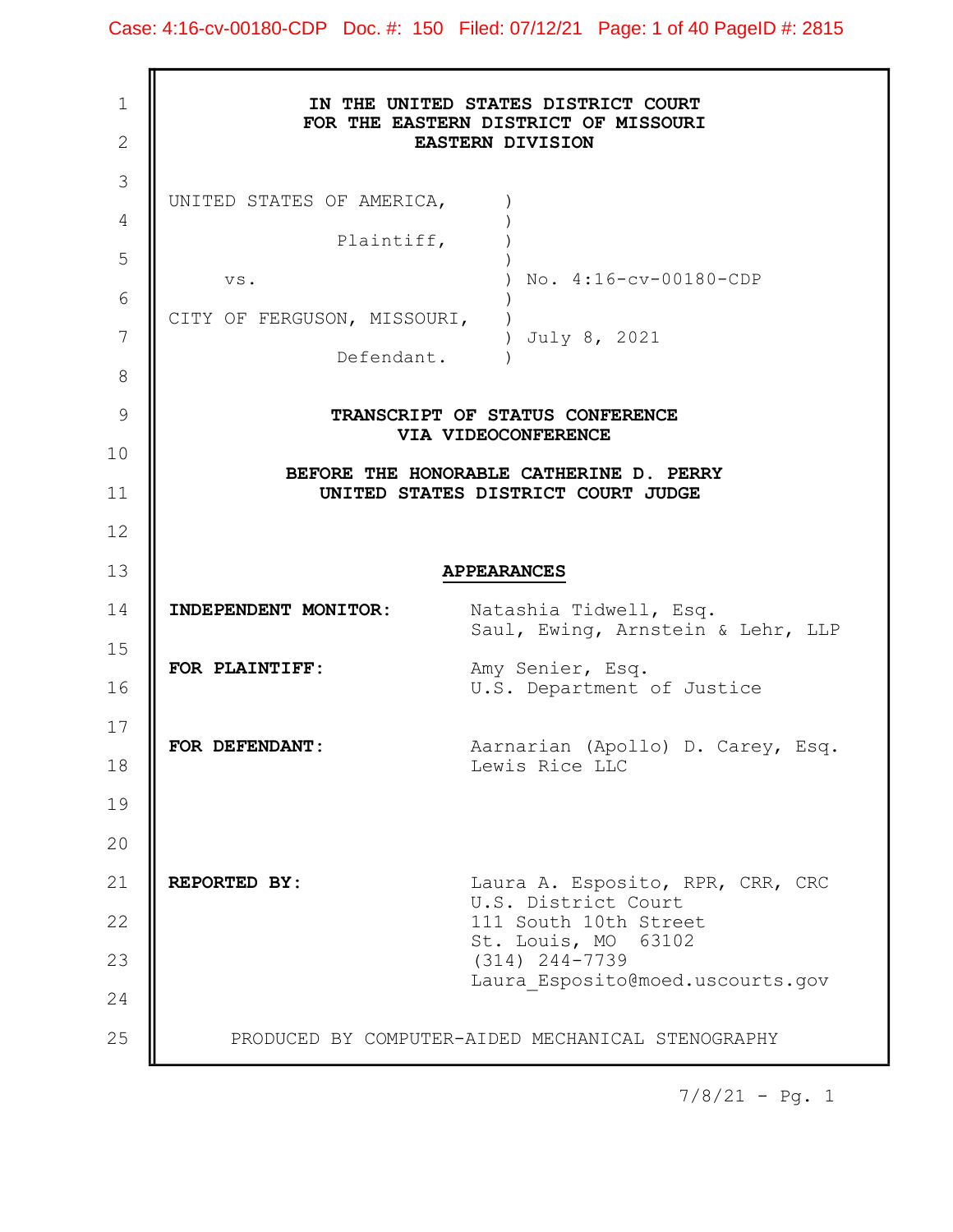Case: 4:16-cv-00180-CDP Doc. #: 150 Filed: 07/12/21 Page: 1 of 40 PageID #: 2815

1 || IN THE UNITED STATES DISTRICT COURT FOR THE EASTERN DISTRICT OF MISSOURI EASTERN DIVISION UNITED STATES OF AMERICA, ) and the contract of  $\mathcal{L}$  and  $\mathcal{L}$  and  $\mathcal{L}$  and  $\mathcal{L}$  and  $\mathcal{L}$  and  $\mathcal{L}$  and  $\mathcal{L}$  and  $\mathcal{L}$  and  $\mathcal{L}$  and  $\mathcal{L}$  and  $\mathcal{L}$  and  $\mathcal{L}$  and  $\mathcal{L}$  and  $\mathcal{L}$  and  $\mathcal{L}$  and  $\mathcal$ Doc.#: 150 Filed: 07/12/21 Page: 1 of 40 PageID #: 2815<br>
THE UNITED STATES DISTRICT COURT<br>
THE EASTERN DISTRICT OF MISSOURI<br>
EASTERN DIVISION<br>
F AMERICA,<br>
<br>
Plaintiff, )<br>
No. 4:16-cv-00180-CDP<br>
N, MISSOURI, )<br>
July 8, 2021 ) and the contract of  $\mathcal{L}$  and  $\mathcal{L}$  and  $\mathcal{L}$  and  $\mathcal{L}$  and  $\mathcal{L}$  and  $\mathcal{L}$  and  $\mathcal{L}$  and  $\mathcal{L}$  and  $\mathcal{L}$  and  $\mathcal{L}$  and  $\mathcal{L}$  and  $\mathcal{L}$  and  $\mathcal{L}$  and  $\mathcal{L}$  and  $\mathcal{L}$  and  $\mathcal$ -00180-CDP Doc.#: 150 Filed: 07/12/21 Page: 1 of 40 PagelD #: 2815<br>
IN THE UNITED STATES DISTRICT COURT<br>
FOR THE EASTERN DISTRICT OF MISSOURI<br>
D STATES OF AMERICA,<br>
Plaintiff,  $\rightarrow$ <br>
vs.  $\rightarrow$  No. 4:16-cv-00180-CDP<br>
OF FERG ) and the contract of  $\mathcal{L}$ CITY OF FERGUSON, MISSOURI, ) July 8, 2021 Doc.#: 150 Filed: 07/12/21 Page: 1 of 40 PagelD #: 2815<br>
THE UNITED STATES DISTRICT COURT<br>
THE UNITED STATES DISTRICT OF MISSOURI<br>
EASTERN DIVISION<br>
F AMERICA,<br>
)<br>
Plaintiff, )<br>
)<br>
No. 4:16-cv-00180-CDP<br>
N, MISSOURI,<br>
)<br>
D TRANSCRIPT OF STATUS CONFERENCE 9 VIA VIDEOCONFERENCE BEFORE THE HONORABLE CATHERINE D. PERRY UNITED STATES DISTRICT COURT JUDGE 11 APPEARANCES Natashia Tidwell, Esq. Saul, Ewing, Arnstein & Lehr, LLP FOR PLAINTIFF: Amy Senier, Esq. U.S. Department of Justice FOR DEFENDANT: Aarnarian (Apollo) D. Carey, Esq. Lewis Rice LLC Laura A. Esposito, RPR, CRR, CRC U.S. District Court 111 South 10th Street St. Louis, MO 63102 (314) 244-7739 Laura\_Esposito@moed.uscourts.gov 25 || PRODUCED BY COMPUTER-AIDED MECHANICAL STENOGRAPHY 2 **Figure 1.**  $3 \parallel$  4  $\overline{5}$  $6 \parallel$  $7 \parallel$  8 10  $12$ 13 14 | INDEPENDENT MONITOR: 15 16 17 18 19 20 **1** 21 | REPORTED BY: 22  $\parallel$ 23  $\blacksquare$ 24  $\blacksquare$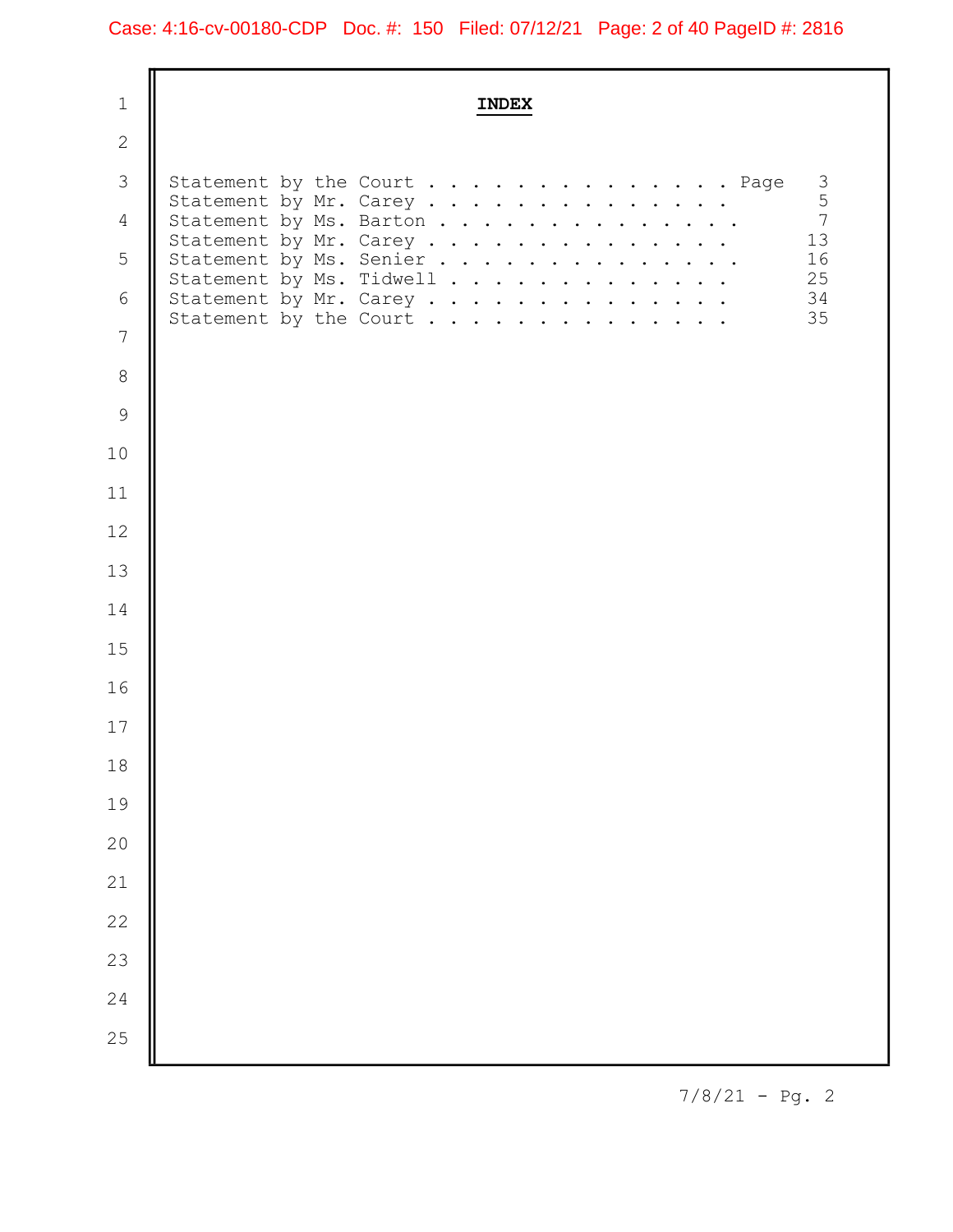| $\mathbf 1$    | <b>INDEX</b>                                                                  |                     |  |
|----------------|-------------------------------------------------------------------------------|---------------------|--|
| $\mathbf{2}$   |                                                                               |                     |  |
| 3              | Statement by the Court Page                                                   |                     |  |
| $\overline{4}$ | Statement by Mr. Carey<br>Statement by Ms. Barton                             | $\frac{3}{5}$<br>13 |  |
| 5              | Statement by Mr. Carey<br>Statement by Ms. Senier<br>Statement by Ms. Tidwell | 16<br>$25\,$        |  |
| 6              | Statement by Mr. Carey<br>Statement by the Court                              | 34<br>35            |  |
| $\overline{7}$ |                                                                               |                     |  |
| $8\,$          |                                                                               |                     |  |
| $\mathsf 9$    |                                                                               |                     |  |
| 10             |                                                                               |                     |  |
| 11             |                                                                               |                     |  |
| 12             |                                                                               |                     |  |
| 13             |                                                                               |                     |  |
| 14             |                                                                               |                     |  |
| 15             |                                                                               |                     |  |
| 16             |                                                                               |                     |  |
| $17$           |                                                                               |                     |  |
| 18             |                                                                               |                     |  |
| 19             |                                                                               |                     |  |
| 20             |                                                                               |                     |  |
| 21             |                                                                               |                     |  |
| 22             |                                                                               |                     |  |
| 23             |                                                                               |                     |  |
| 24             |                                                                               |                     |  |
| 25             |                                                                               |                     |  |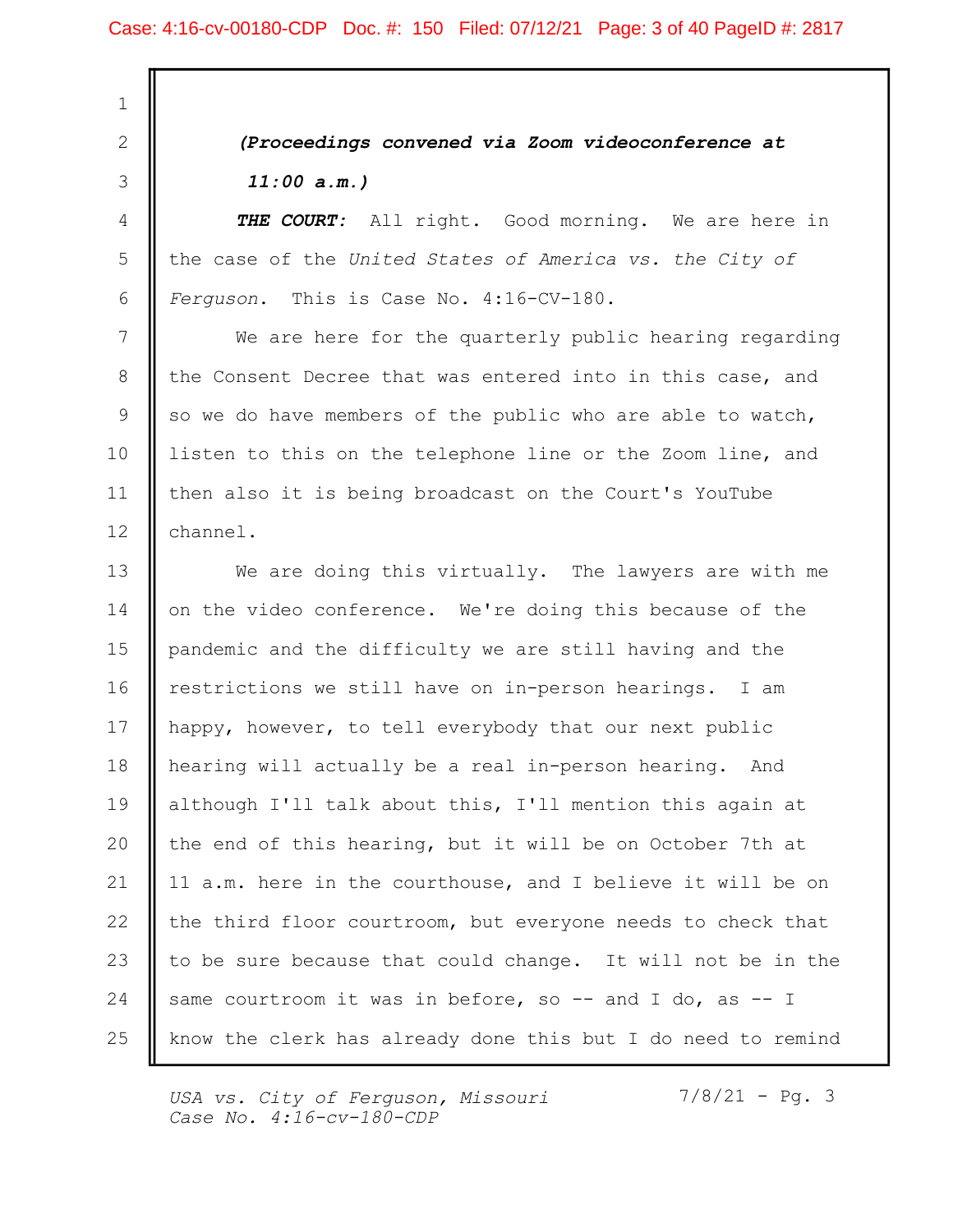#### Case: 4:16-cv-00180-CDP Doc. #: 150 Filed: 07/12/21 Page: 3 of 40 PageID #: 2817

2 || (Proceedings convened via Zoom videoconference at |  $3$  ||  $11:00$  a.m.) 4 | THE COURT: All right. Good morning. We are here in 5 || the case of the United States of America vs. the City of  $\begin{array}{|l|} \hline \end{array}$  Ferguson. This is Case No. 4:16-CV-180. 7 || We are here for the quarterly public hearing regarding 8 || the Consent Decree that was entered into in this case, and  $9 \parallel$  so we do have members of the public who are able to watch, 10 || listen to this on the telephone line or the Zoom line, and 11 || then also it is being broadcast on the Court's YouTube 12 | channel. 13 || We are doing this virtually. The lawyers are with me 14 || on the video conference. We're doing this because of the 15 || pandemic and the difficulty we are still having and the 16 || restrictions we still have on in-person hearings. I am 17 || happy, however, to tell everybody that our next public 18 || hearing will actually be a real in-person hearing. And 19 || although I'll talk about this, I'll mention this again at 20 || the end of this hearing, but it will be on October 7th at 21 || 11 a.m. here in the courthouse, and I believe it will be on 22 | the third floor courtroom, but everyone needs to check that 23 || to be sure because that could change. It will not be in the 24  $\parallel$  same courtroom it was in before, so -- and I do, as -- I 25 || know the clerk has already done this but I do need to remind  $1 \parallel$ 

USA vs. City of Ferguson, Missouri Case No. 4:16-cv-180-CDP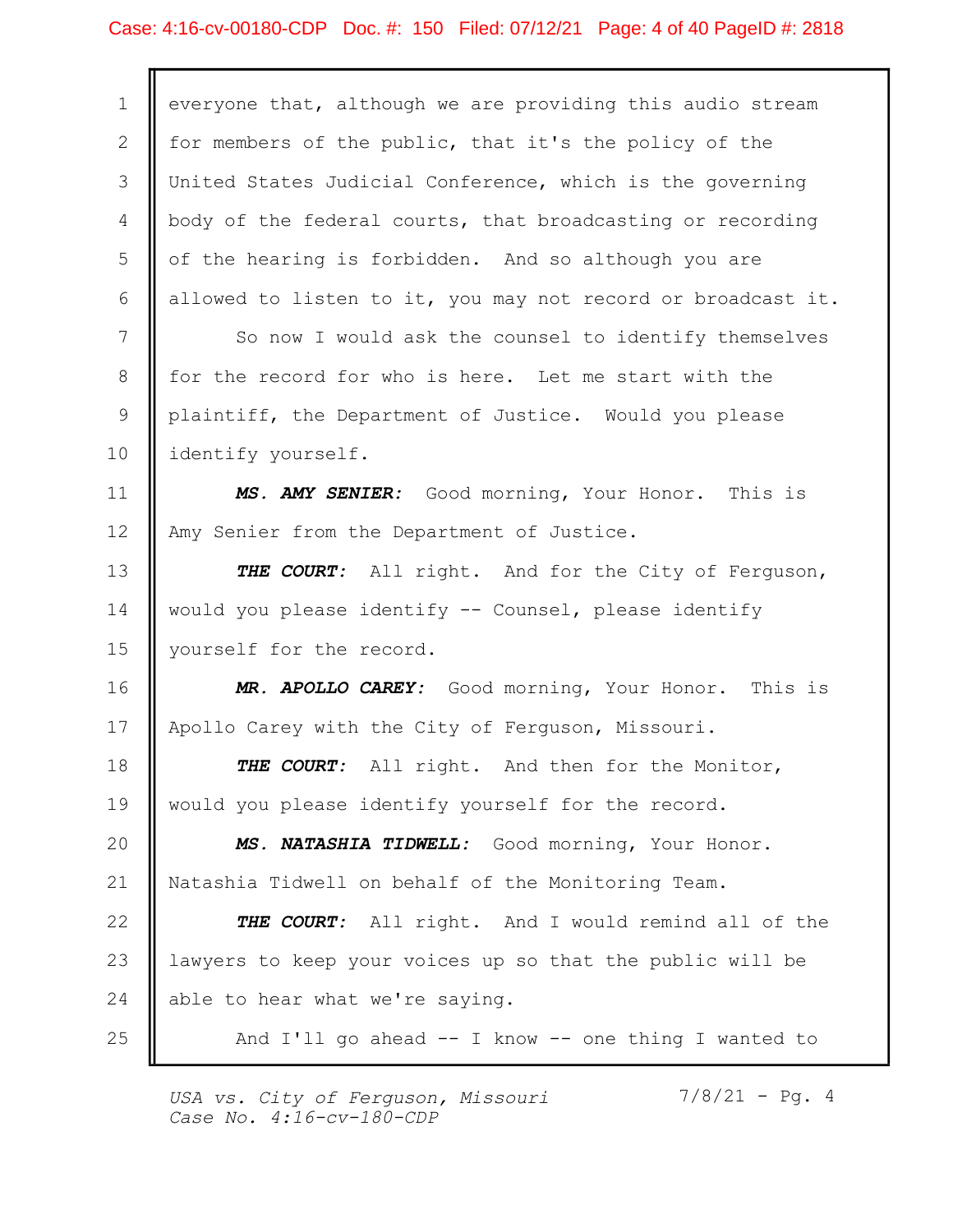# Case: 4:16-cv-00180-CDP Doc. #: 150 Filed: 07/12/21 Page: 4 of 40 PageID #: 2818

| $\mathbf 1$  | everyone that, although we are providing this audio stream   |
|--------------|--------------------------------------------------------------|
| $\mathbf{2}$ | for members of the public, that it's the policy of the       |
| 3            | United States Judicial Conference, which is the governing    |
| 4            | body of the federal courts, that broadcasting or recording   |
| 5            | of the hearing is forbidden. And so although you are         |
| 6            | allowed to listen to it, you may not record or broadcast it. |
| 7            | So now I would ask the counsel to identify themselves        |
| 8            | for the record for who is here. Let me start with the        |
| 9            | plaintiff, the Department of Justice. Would you please       |
| 10           | identify yourself.                                           |
| 11           | MS. AMY SENIER: Good morning, Your Honor. This is            |
| 12           | Amy Senier from the Department of Justice.                   |
| 13           | THE COURT: All right. And for the City of Ferguson,          |
| 14           | would you please identify -- Counsel, please identify        |
| 15           | yourself for the record.                                     |
| 16           | MR. APOLLO CAREY: Good morning, Your Honor. This is          |
| 17           | Apollo Carey with the City of Ferguson, Missouri.            |
| 18           | THE COURT: All right. And then for the Monitor,              |
| 19           | would you please identify yourself for the record.           |
| 20           | MS. NATASHIA TIDWELL: Good morning, Your Honor.              |
| 21           | Natashia Tidwell on behalf of the Monitoring Team.           |
| 22           | THE COURT: All right. And I would remind all of the          |
| 23           | lawyers to keep your voices up so that the public will be    |
| 24           | able to hear what we're saying.                              |
| 25           | And I'll go ahead $-$ I know $-$ one thing I wanted to       |

7/8/21 - Pg. 4 USA vs. City of Ferguson, Missouri Case No. 4:16-cv-180-CDP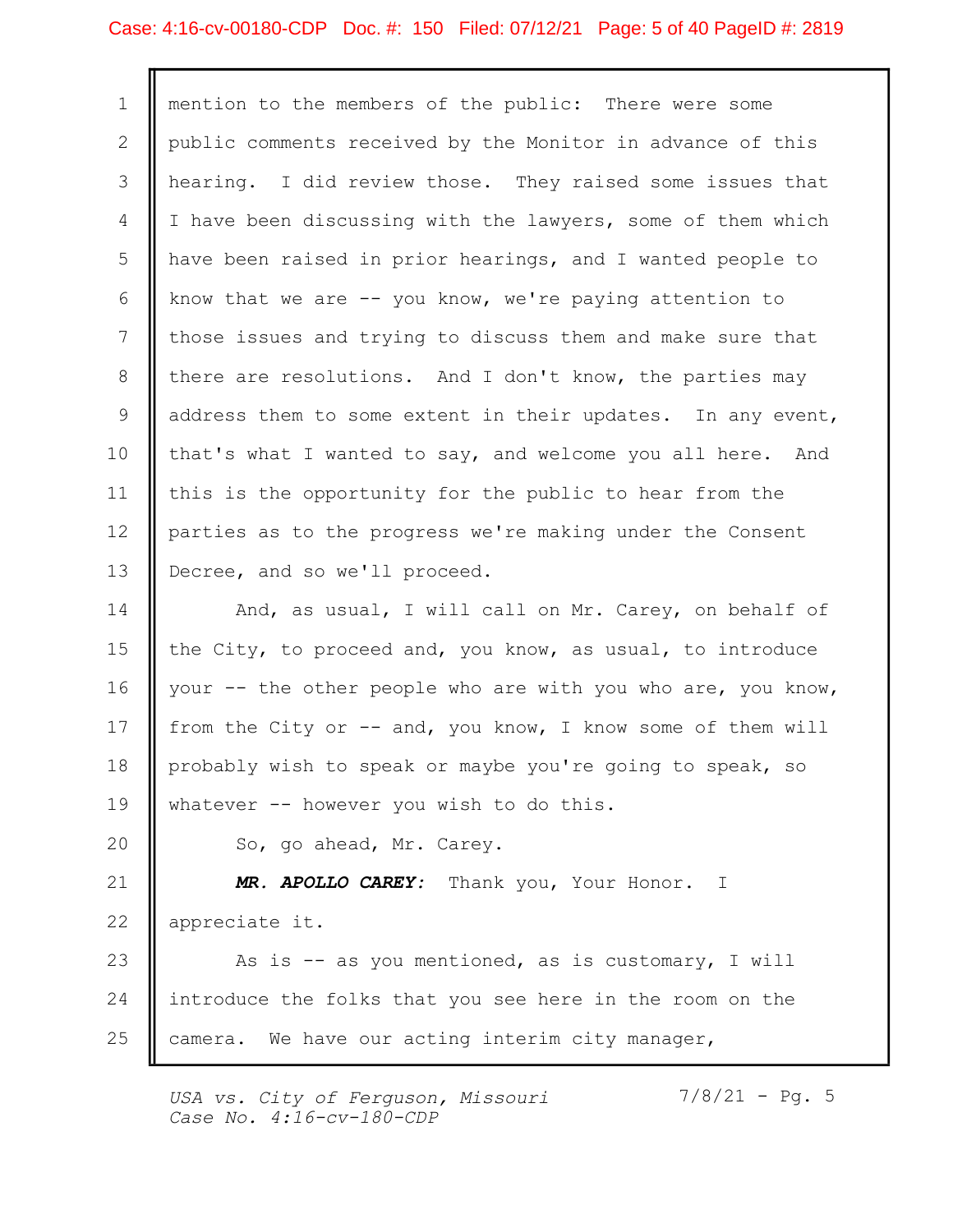# Case: 4:16-cv-00180-CDP Doc. #: 150 Filed: 07/12/21 Page: 5 of 40 PageID #: 2819

| 1               | mention to the members of the public: There were some        |
|-----------------|--------------------------------------------------------------|
| $\mathbf{2}$    | public comments received by the Monitor in advance of this   |
| 3               | hearing. I did review those. They raised some issues that    |
| 4               | I have been discussing with the lawyers, some of them which  |
| 5               | have been raised in prior hearings, and I wanted people to   |
| 6               | know that we are -- you know, we're paying attention to      |
| 7               | those issues and trying to discuss them and make sure that   |
| 8               | there are resolutions. And I don't know, the parties may     |
| 9               | address them to some extent in their updates. In any event,  |
| 10              | that's what I wanted to say, and welcome you all here. And   |
| 11              | this is the opportunity for the public to hear from the      |
| 12 <sup>°</sup> | parties as to the progress we're making under the Consent    |
| 13              | Decree, and so we'll proceed.                                |
| 14              | And, as usual, I will call on Mr. Carey, on behalf of        |
| 15              | the City, to proceed and, you know, as usual, to introduce   |
| 16              | your -- the other people who are with you who are, you know, |
| 17              | from the City or -- and, you know, I know some of them will  |
| 18              | probably wish to speak or maybe you're going to speak, so    |
| 19              | whatever -- however you wish to do this.                     |
| 20              | So, go ahead, Mr. Carey.                                     |
| 21              | MR. APOLLO CAREY: Thank you, Your Honor. I                   |
| 22              | appreciate it.                                               |
| 23              | As is -- as you mentioned, as is customary, I will           |
| 24              | introduce the folks that you see here in the room on the     |
| 25              | camera. We have our acting interim city manager,             |

7/8/21 - Pg. 5 USA vs. City of Ferguson, Missouri Case No. 4:16-cv-180-CDP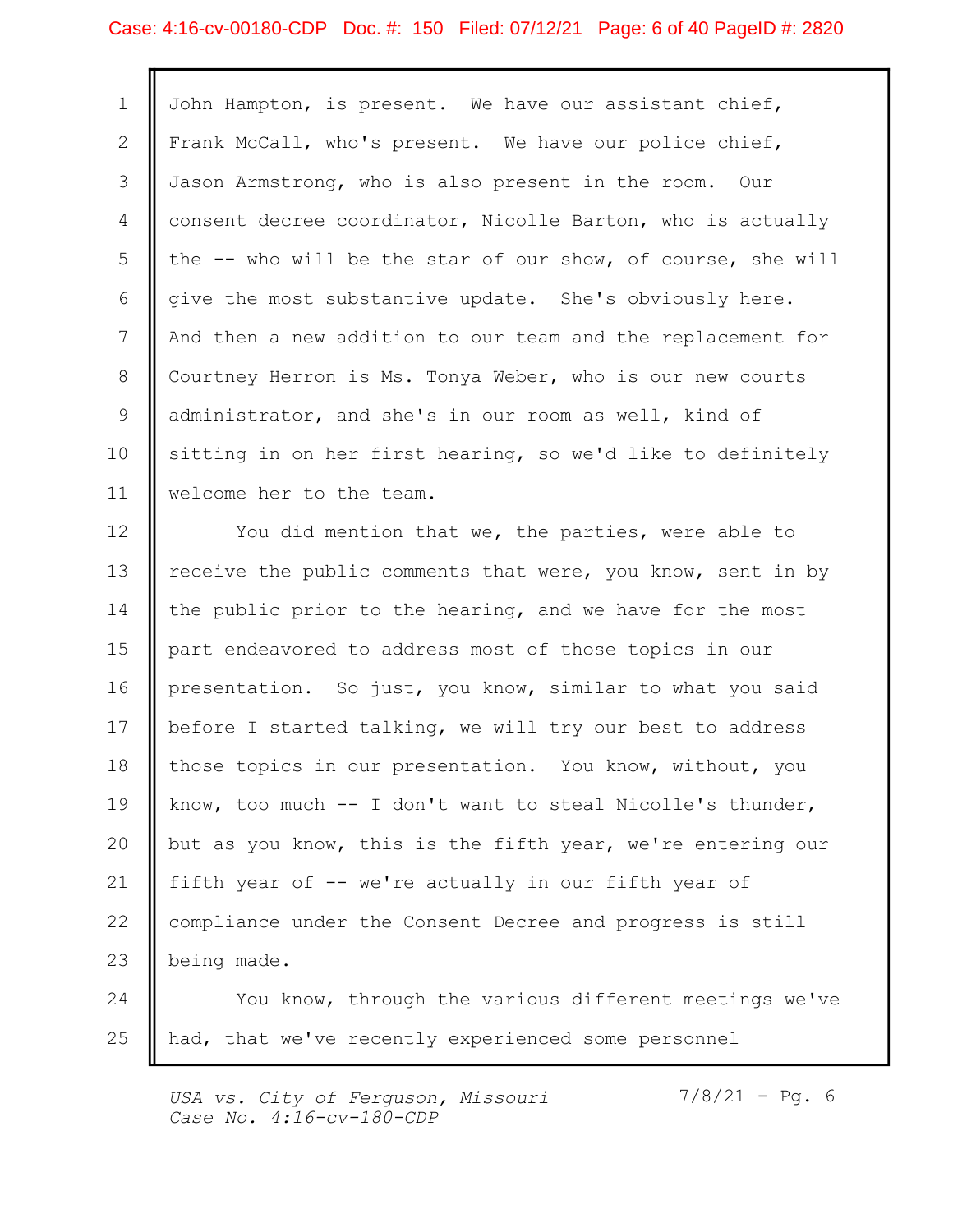#### Case: 4:16-cv-00180-CDP Doc. #: 150 Filed: 07/12/21 Page: 6 of 40 PageID #: 2820

1 | John Hampton, is present. We have our assistant chief, 2 || Frank McCall, who's present. We have our police chief, 3 || Jason Armstrong, who is also present in the room. Our 4 | consent decree coordinator, Nicolle Barton, who is actually  $5$  | the -- who will be the star of our show, of course, she will 6 give the most substantive update. She's obviously here. 7 || And then a new addition to our team and the replacement for 8 Courtney Herron is Ms. Tonya Weber, who is our new courts 9 || administrator, and she's in our room as well, kind of 10 || sitting in on her first hearing, so we'd like to definitely || 11 | welcome her to the team. 12 || You did mention that we, the parties, were able to

13 | receive the public comments that were, you know, sent in by 14 | the public prior to the hearing, and we have for the most 15 || part endeavored to address most of those topics in our 16 || presentation. So just, you know, similar to what you said 17 || before I started talking, we will try our best to address 18 || those topics in our presentation. You know, without, you 19 || know, too much -- I don't want to steal Nicolle's thunder, 20 || but as you know, this is the fifth year, we're entering our 21 || fifth year of -- we're actually in our fifth year of 22 | compliance under the Consent Decree and progress is still 23 being made.

24  $\parallel$  You know, through the various different meetings we've 25 || had, that we've recently experienced some personnel

USA vs. City of Ferguson, Missouri Case No. 4:16-cv-180-CDP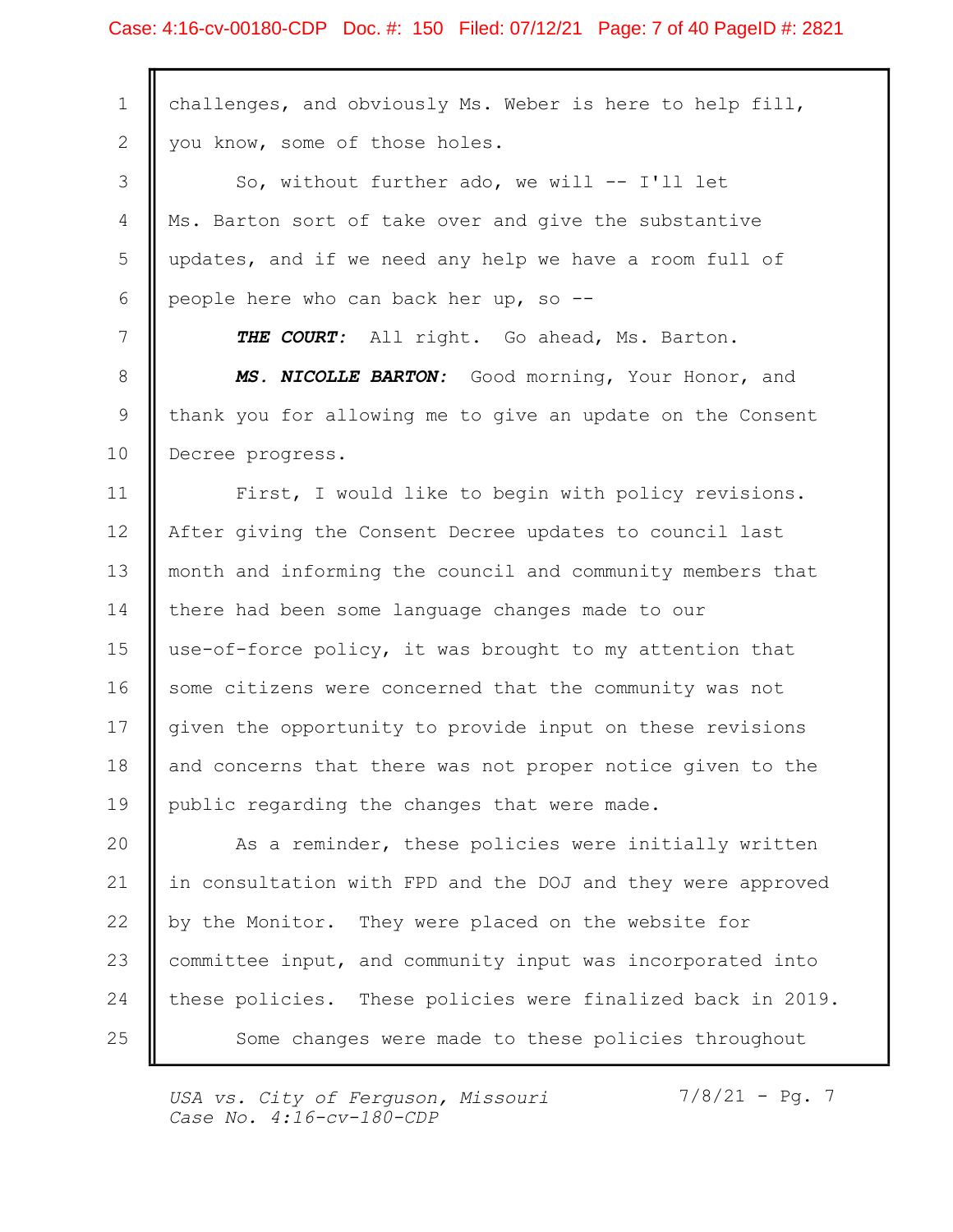#### Case: 4:16-cv-00180-CDP Doc. #: 150 Filed: 07/12/21 Page: 7 of 40 PageID #: 2821

1 | challenges, and obviously Ms. Weber is here to help fill, 2 || you know, some of those holes. 3 || So, without further ado, we will -- I'll let 4 || Ms. Barton sort of take over and give the substantive 5 || updates, and if we need any help we have a room full of  $6$  | people here who can back her up, so --7 || THE COURT: All right. Go ahead, Ms. Barton. 8 || MS. NICOLLE BARTON: Good morning, Your Honor, and 9 || thank you for allowing me to give an update on the Consent 10 | Decree progress. 11 || First, I would like to begin with policy revisions. 12 || After giving the Consent Decree updates to council last 13 || month and informing the council and community members that 14 | there had been some language changes made to our 15 || use-of-force policy, it was brought to my attention that 16 || some citizens were concerned that the community was not 17 || given the opportunity to provide input on these revisions 18 || and concerns that there was not proper notice given to the 19 || public regarding the changes that were made. 20  $\parallel$  As a reminder, these policies were initially written and the set of the set of the set of the set of the set of the set of the set of the set of the set of the set of the set of the set of the set of the set of the 21 || in consultation with FPD and the DOJ and they were approved 22 || by the Monitor. They were placed on the website for 23 | committee input, and community input was incorporated into 24 || these policies. These policies were finalized back in 2019. || 25 || Some changes were made to these policies throughout

USA vs. City of Ferguson, Missouri Case No.  $4:16$ -cv-180-CDP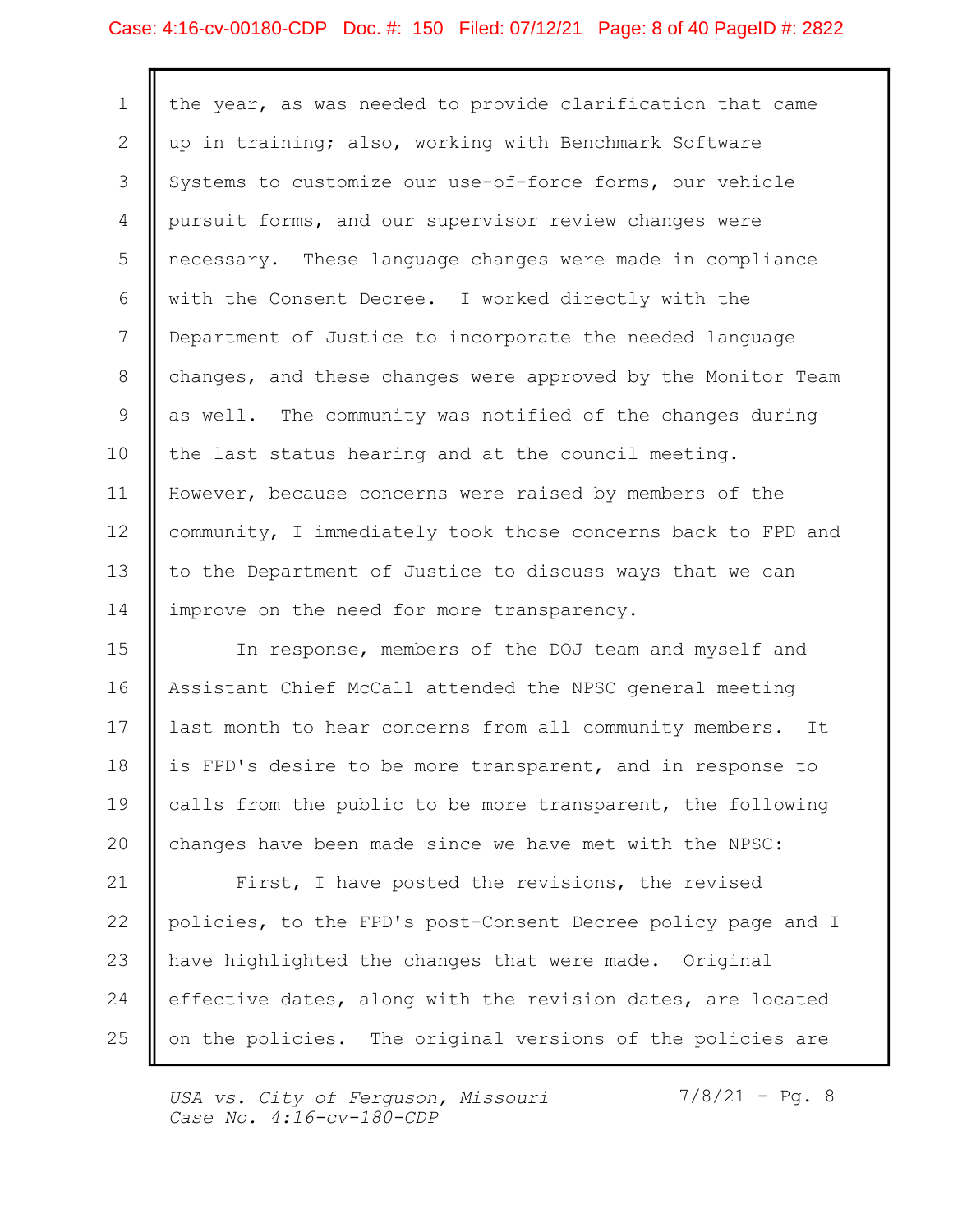#### Case: 4:16-cv-00180-CDP Doc. #: 150 Filed: 07/12/21 Page: 8 of 40 PageID #: 2822

1 | the year, as was needed to provide clarification that came 2 || up in training; also, working with Benchmark Software 3 Systems to customize our use-of-force forms, our vehicle 4 | pursuit forms, and our supervisor review changes were 5 || necessary. These language changes were made in compliance 6 with the Consent Decree. I worked directly with the 7 | Department of Justice to incorporate the needed language 8 || changes, and these changes were approved by the Monitor Team 9 as well. The community was notified of the changes during 10 || the last status hearing and at the council meeting. 11 || However, because concerns were raised by members of the 12 | community, I immediately took those concerns back to FPD and 13 || to the Department of Justice to discuss ways that we can 14 | improve on the need for more transparency. 15 || In response, members of the DOJ team and myself and Assistant Chief McCall attended the NPSC general meeting 16 17 || last month to hear concerns from all community members. It 18 || is FPD's desire to be more transparent, and in response to 19 || calls from the public to be more transparent, the following 20 || changes have been made since we have met with the NPSC: 21 | First, I have posted the revisions, the revised 22 || policies, to the FPD's post-Consent Decree policy page and I

24 | effective dates, along with the revision dates, are located

25  $\parallel$  on the policies. The original versions of the policies are  $\parallel$ 

USA vs. City of Ferguson, Missouri Case No. 4:16-cv-180-CDP

 $7/8/21 - PQ.8$ 

23 || have highlighted the changes that were made. Original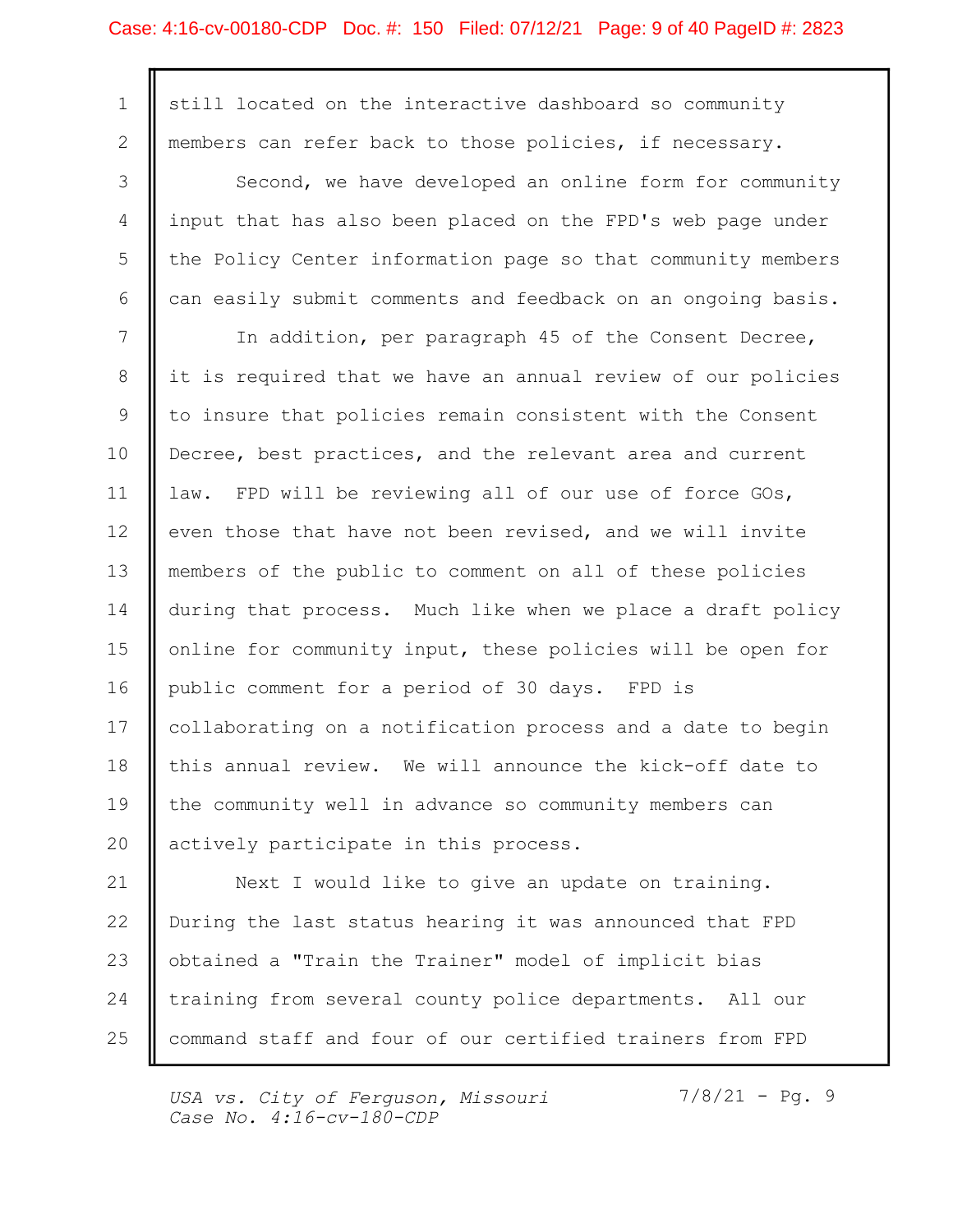#### Case: 4:16-cv-00180-CDP Doc. #: 150 Filed: 07/12/21 Page: 9 of 40 PageID #: 2823

1 || still located on the interactive dashboard so community 2 || members can refer back to those policies, if necessary. 3 || Second, we have developed an online form for community 4 | input that has also been placed on the FPD's web page under 5 || the Policy Center information page so that community members 6 can easily submit comments and feedback on an ongoing basis. 7 | The addition, per paragraph 45 of the Consent Decree, 8 || it is required that we have an annual review of our policies 9 || to insure that policies remain consistent with the Consent 10 || Decree, best practices, and the relevant area and current 11 || law. FPD will be reviewing all of our use of force GOs, 12 | even those that have not been revised, and we will invite 13 || members of the public to comment on all of these policies 14 | during that process. Much like when we place a draft policy 15 || online for community input, these policies will be open for 16 || public comment for a period of 30 days. FPD is 17 || collaborating on a notification process and a date to begin 18 || this annual review. We will announce the kick-off date to 19 || the community well in advance so community members can 20 || actively participate in this process. 21 || Next I would like to give an update on training. 22 | During the last status hearing it was announced that FPD 23 || obtained a "Train the Trainer" model of implicit bias 24 || training from several county police departments. All our 25 || command staff and four of our certified trainers from FPD ||

USA vs. City of Ferguson, Missouri Case No. 4:16-cv-180-CDP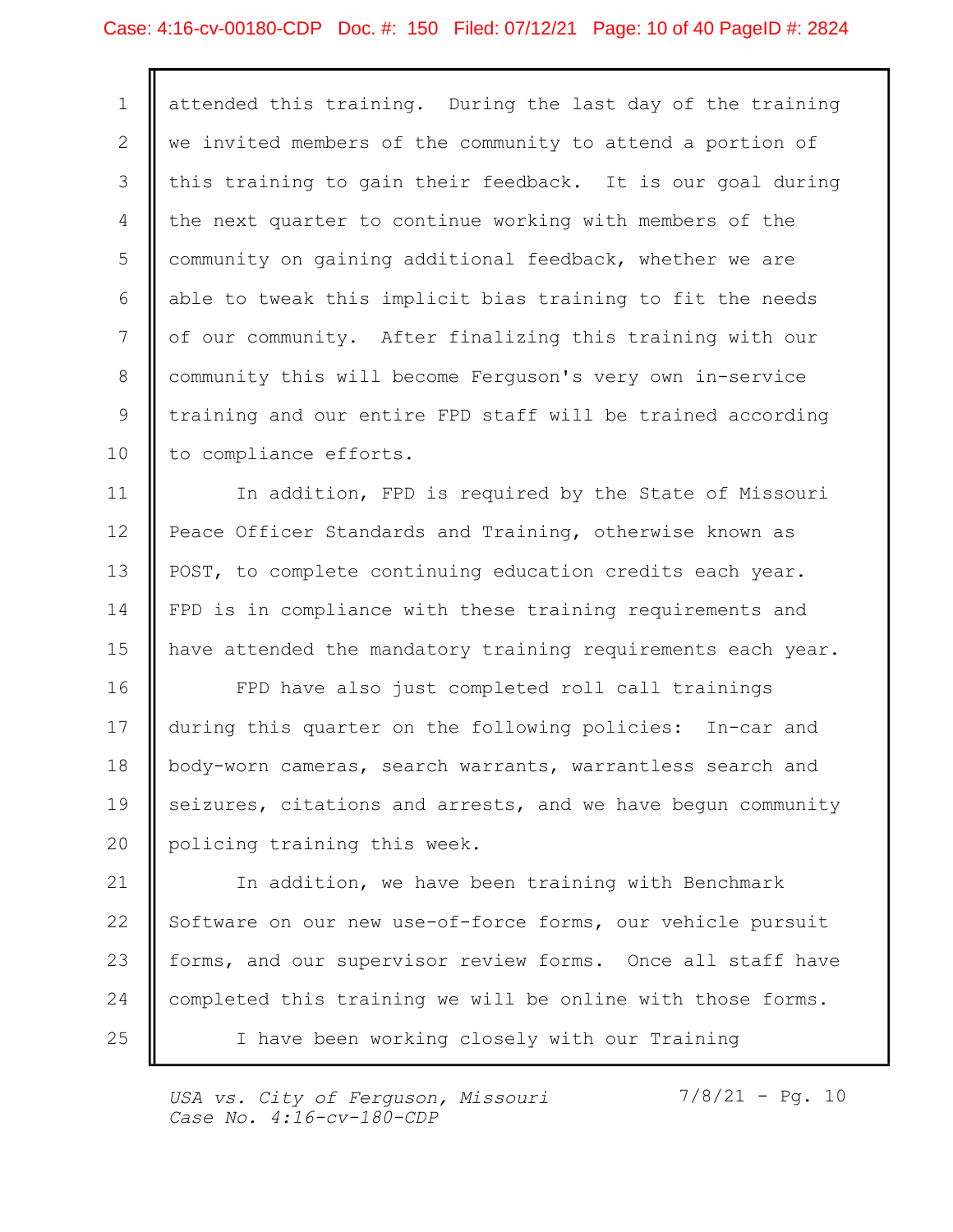#### Case: 4:16-cv-00180-CDP Doc. #: 150 Filed: 07/12/21 Page: 10 of 40 PageID #: 2824

1 | attended this training. During the last day of the training 2 || we invited members of the community to attend a portion of 3 || this training to gain their feedback. It is our goal during | 4 | the next quarter to continue working with members of the 5 | community on gaining additional feedback, whether we are 6 || able to tweak this implicit bias training to fit the needs 7 || of our community. After finalizing this training with our 8 || community this will become Ferguson's very own in-service 9 || training and our entire FPD staff will be trained according 10 | to compliance efforts.

11 || In addition, FPD is required by the State of Missouri | 12 | Peace Officer Standards and Training, otherwise known as 13 || POST, to complete continuing education credits each year. 14 | FPD is in compliance with these training requirements and 15 || have attended the mandatory training requirements each year.

16 || FPD have also just completed roll call trainings 17 || during this quarter on the following policies: In-car and body-worn cameras, search warrants, warrantless search and 18 19 Seizures, citations and arrests, and we have begun community 20 | policing training this week.

21 || In addition, we have been training with Benchmark 22 Software on our new use-of-force forms, our vehicle pursuit 23 || forms, and our supervisor review forms. Once all staff have 24 | completed this training we will be online with those forms. 25 || I have been working closely with our Training

USA vs. City of Ferguson, Missouri Case No. 4:16-cv-180-CDP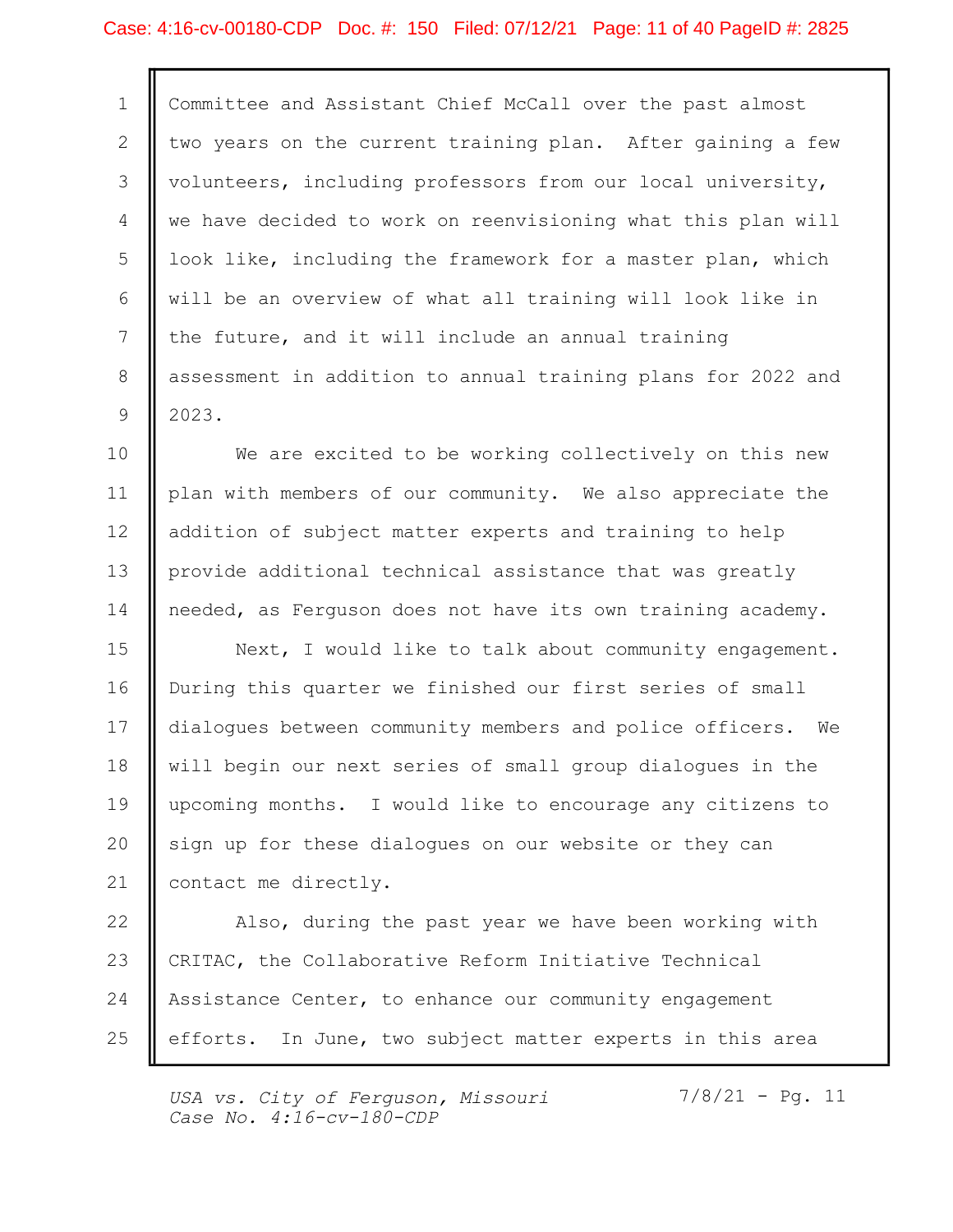#### Case: 4:16-cv-00180-CDP Doc. #: 150 Filed: 07/12/21 Page: 11 of 40 PageID #: 2825

1 Committee and Assistant Chief McCall over the past almost 2 || two years on the current training plan. After gaining a few 3 || volunteers, including professors from our local university, 4 We have decided to work on reenvisioning what this plan will 5 || look like, including the framework for a master plan, which 6 || will be an overview of what all training will look like in 7 || the future, and it will include an annual training 8 || assessment in addition to annual training plans for 2022 and 2023. 9

10 || We are excited to be working collectively on this new 11 | plan with members of our community. We also appreciate the 12 || addition of subject matter experts and training to help || 13 || provide additional technical assistance that was greatly 14 | needed, as Ferguson does not have its own training academy.

15 || Next, I would like to talk about community engagement. 16 || During this quarter we finished our first series of small 17 || dialogues between community members and police officers. We 18 || will begin our next series of small group dialogues in the upcoming months. I would like to encourage any citizens to 19 20 || sign up for these dialogues on our website or they can 21 | contact me directly.

22 || Also, during the past year we have been working with 23 || CRITAC, the Collaborative Reform Initiative Technical 24 | Assistance Center, to enhance our community engagement 25 || efforts. In June, two subject matter experts in this area

USA vs. City of Ferguson, Missouri Case No. 4:16-cv-180-CDP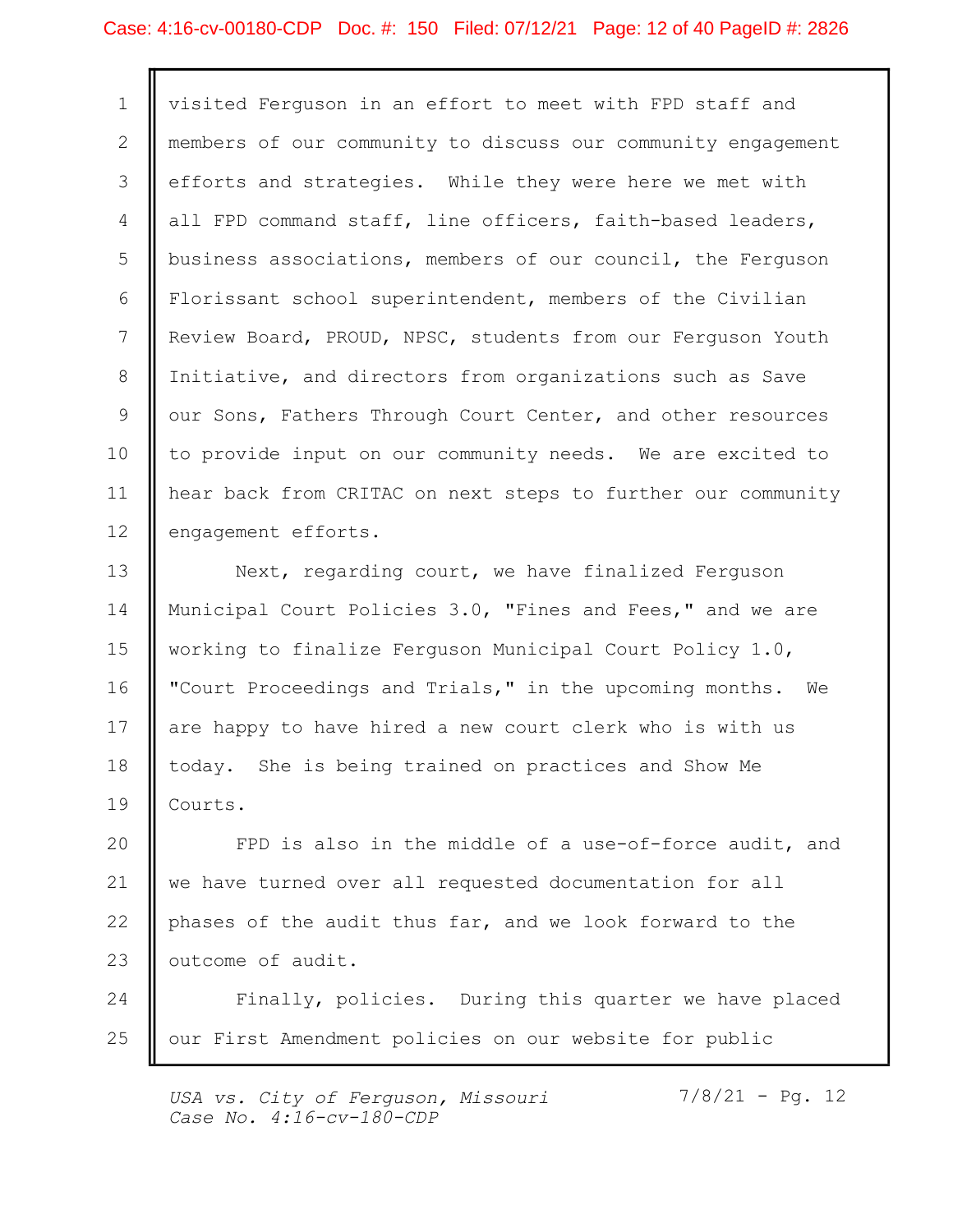## Case: 4:16-cv-00180-CDP Doc. #: 150 Filed: 07/12/21 Page: 12 of 40 PageID #: 2826

| $\mathbf{1}$ | visited Ferguson in an effort to meet with FPD staff and     |
|--------------|--------------------------------------------------------------|
| 2            | members of our community to discuss our community engagement |
| 3            | efforts and strategies. While they were here we met with     |
| 4            | all FPD command staff, line officers, faith-based leaders,   |
| 5            | business associations, members of our council, the Ferquson  |
| 6            | Florissant school superintendent, members of the Civilian    |
| 7            | Review Board, PROUD, NPSC, students from our Ferguson Youth  |
| 8            | Initiative, and directors from organizations such as Save    |
| 9            | our Sons, Fathers Through Court Center, and other resources  |
| 10           | to provide input on our community needs. We are excited to   |
| 11           | hear back from CRITAC on next steps to further our community |
| 12           | engagement efforts.                                          |
| 13           | Next, regarding court, we have finalized Ferguson            |
| 14           | Municipal Court Policies 3.0, "Fines and Fees," and we are   |
| 15           | working to finalize Ferguson Municipal Court Policy 1.0,     |
| 16           | "Court Proceedings and Trials," in the upcoming months. We   |
| 17           | are happy to have hired a new court clerk who is with us     |
| 18           | today. She is being trained on practices and Show Me         |
| 19           | Courts.                                                      |
| 20           | FPD is also in the middle of a use-of-force audit, and       |
| 21           | we have turned over all requested documentation for all      |
| 22           | phases of the audit thus far, and we look forward to the     |
| 23           | outcome of audit.                                            |
| 24           | Finally, policies. During this quarter we have placed        |
| 25           | our First Amendment policies on our website for public       |

USA vs. City of Ferguson, Missouri 7/8/21 - Pg. 12 Case No. 4:16-cv-180-CDP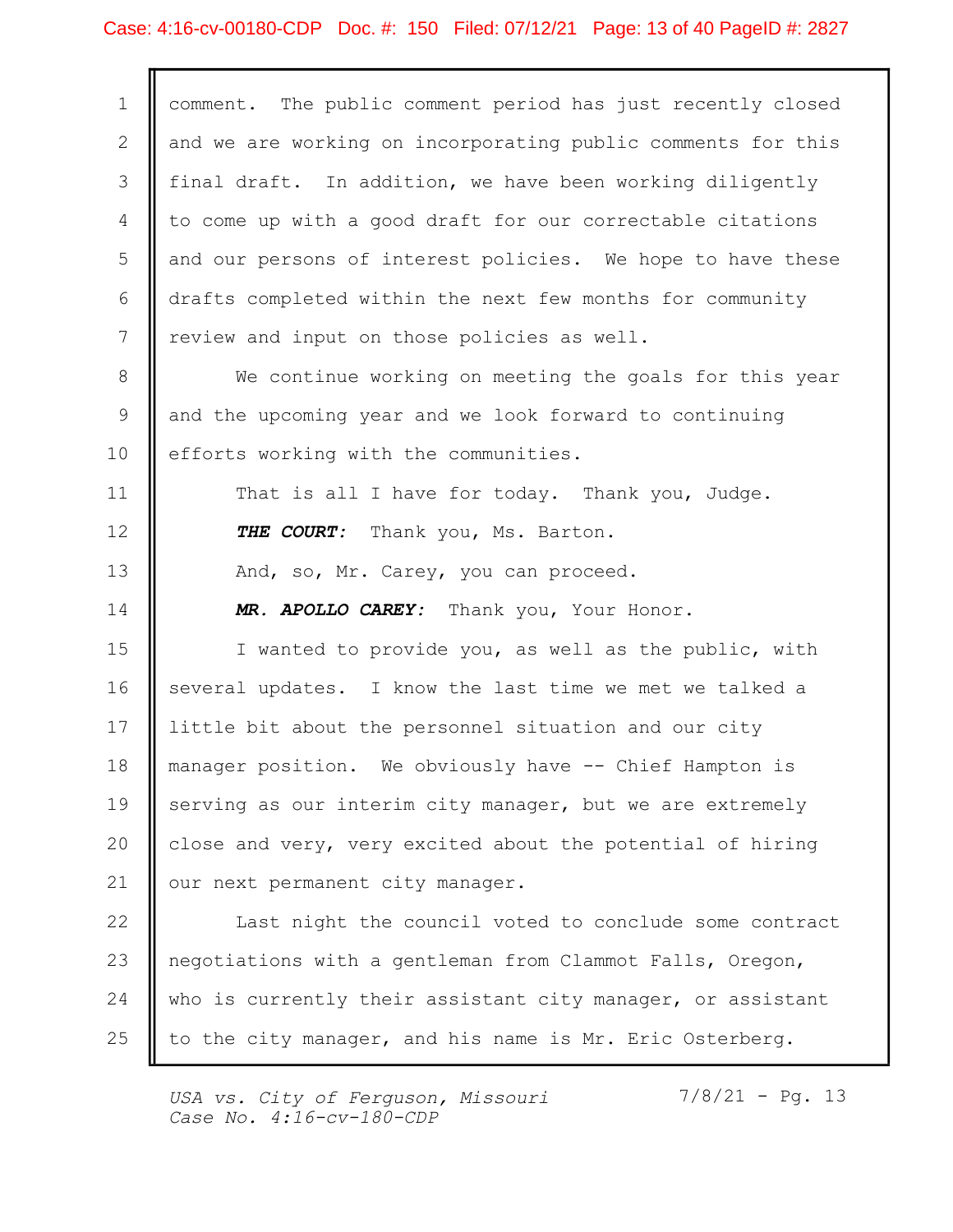#### Case: 4:16-cv-00180-CDP Doc. #: 150 Filed: 07/12/21 Page: 13 of 40 PageID #: 2827

1 | comment. The public comment period has just recently closed 2 || and we are working on incorporating public comments for this 3 || final draft. In addition, we have been working diligently 4 | to come up with a good draft for our correctable citations 5 || and our persons of interest policies. We hope to have these 6 || drafts completed within the next few months for community 7 || review and input on those policies as well. 8 || We continue working on meeting the goals for this year 9 and the upcoming year and we look forward to continuing 10 | efforts working with the communities. 11 || That is all I have for today. Thank you, Judge. 12 **THE COURT:** Thank you, Ms. Barton. 13 || And, so, Mr. Carey, you can proceed. 14 **|| MR. APOLLO CAREY:** Thank you, Your Honor. 15 || I wanted to provide you, as well as the public, with 16 || several updates. I know the last time we met we talked a 17 || little bit about the personnel situation and our city manager position. We obviously have -- Chief Hampton is 18 19 || serving as our interim city manager, but we are extremely 20 || close and very, very excited about the potential of hiring 21 | our next permanent city manager. 22 || Last night the council voted to conclude some contract 23 || negotiations with a gentleman from Clammot Falls, Oregon, 24 || who is currently their assistant city manager, or assistant 25  $\parallel$  to the city manager, and his name is Mr. Eric Osterberg.  $\parallel$ 

USA vs. City of Ferguson, Missouri Case No. 4:16-cv-180-CDP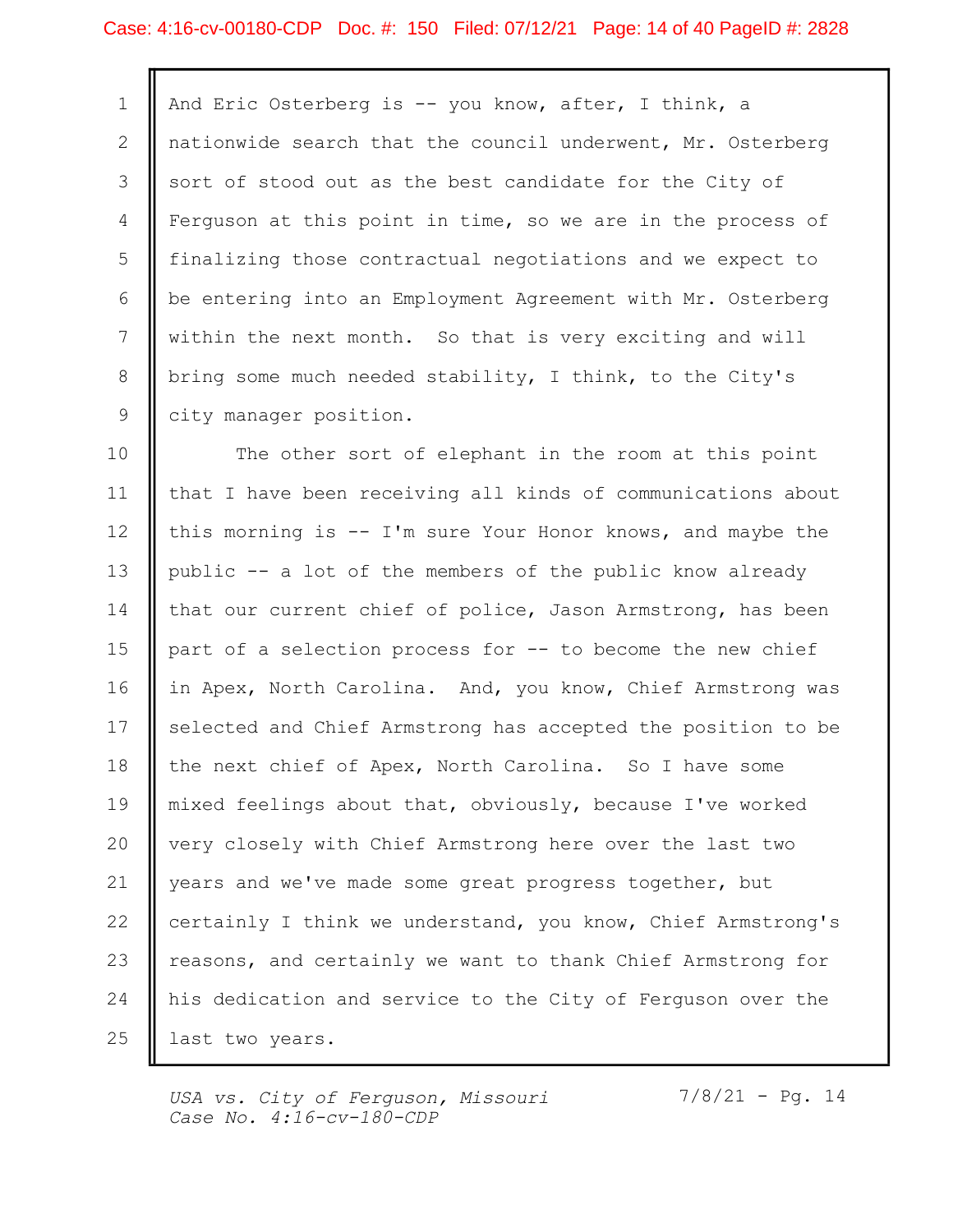#### Case: 4:16-cv-00180-CDP Doc. #: 150 Filed: 07/12/21 Page: 14 of 40 PageID #: 2828

1 || And Eric Osterberg is -- you know, after, I think, a 2 | nationwide search that the council underwent, Mr. Osterberg 3 Sort of stood out as the best candidate for the City of 4 | Ferguson at this point in time, so we are in the process of 5 | finalizing those contractual negotiations and we expect to 6 | be entering into an Employment Agreement with Mr. Osterberg 7 || within the next month. So that is very exciting and will 8 || bring some much needed stability, I think, to the City's 9 city manager position.

10 || The other sort of elephant in the room at this point 11 || that I have been receiving all kinds of communications about 12 | this morning is -- I'm sure Your Honor knows, and maybe the 13 || public -- a lot of the members of the public know already 14 || that our current chief of police, Jason Armstrong, has been 15 || part of a selection process for -- to become the new chief in Apex, North Carolina. And, you know, Chief Armstrong was 16 17 || selected and Chief Armstrong has accepted the position to be 18 || the next chief of Apex, North Carolina. So I have some 19 || mixed feelings about that, obviously, because I've worked 20 || very closely with Chief Armstrong here over the last two 21 || years and we've made some great progress together, but 22 | certainly I think we understand, you know, Chief Armstrong's 23 || reasons, and certainly we want to thank Chief Armstrong for 24 || his dedication and service to the City of Ferguson over the 25 || last two years.

USA vs. City of Ferguson, Missouri Case No. 4:16-cv-180-CDP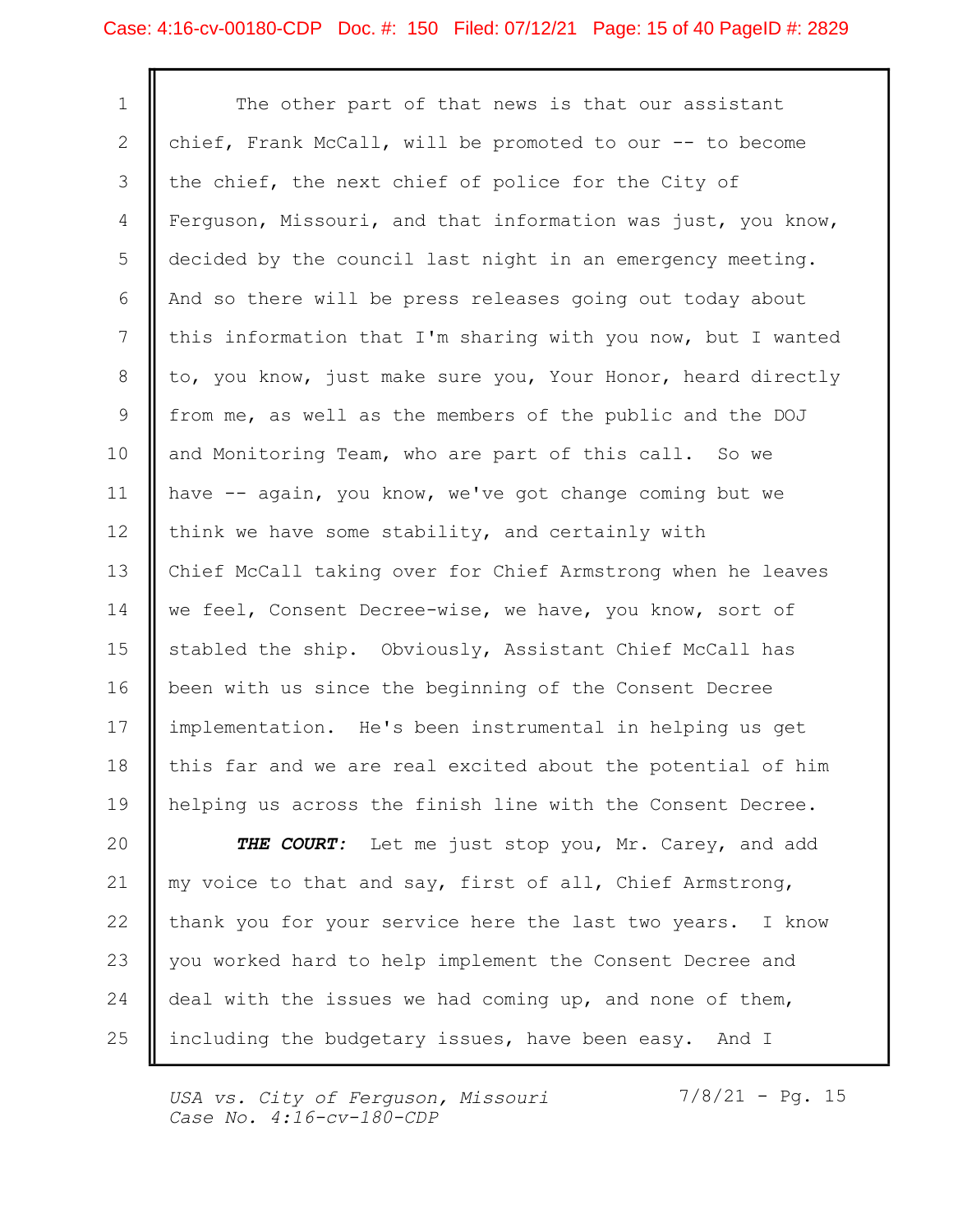#### Case: 4:16-cv-00180-CDP Doc. #: 150 Filed: 07/12/21 Page: 15 of 40 PageID #: 2829

1 | The other part of that news is that our assistant 2 || chief, Frank McCall, will be promoted to our -- to become 3 || the chief, the next chief of police for the City of 4 **F**erguson, Missouri, and that information was just, you know, 5 | decided by the council last night in an emergency meeting. 6 And so there will be press releases going out today about 7 || this information that I'm sharing with you now, but I wanted 8 || to, you know, just make sure you, Your Honor, heard directly 9 || from me, as well as the members of the public and the DOJ 10 || and Monitoring Team, who are part of this call. So we 11 || have -- again, you know, we've got change coming but we 12 | think we have some stability, and certainly with 13 || Chief McCall taking over for Chief Armstrong when he leaves 14 We feel, Consent Decree-wise, we have, you know, sort of 15 || stabled the ship. Obviously, Assistant Chief McCall has 16 || been with us since the beginning of the Consent Decree 17 || implementation. He's been instrumental in helping us get 18 || this far and we are real excited about the potential of him 19 || helping us across the finish line with the Consent Decree. 20 || THE COURT: Let me just stop you, Mr. Carey, and add 21 || my voice to that and say, first of all, Chief Armstrong,

22 || thank you for your service here the last two years. I know 23 || you worked hard to help implement the Consent Decree and 24  $\parallel$  deal with the issues we had coming up, and none of them, 25 || including the budgetary issues, have been easy. And I

USA vs. City of Ferguson, Missouri Case No. 4:16-cv-180-CDP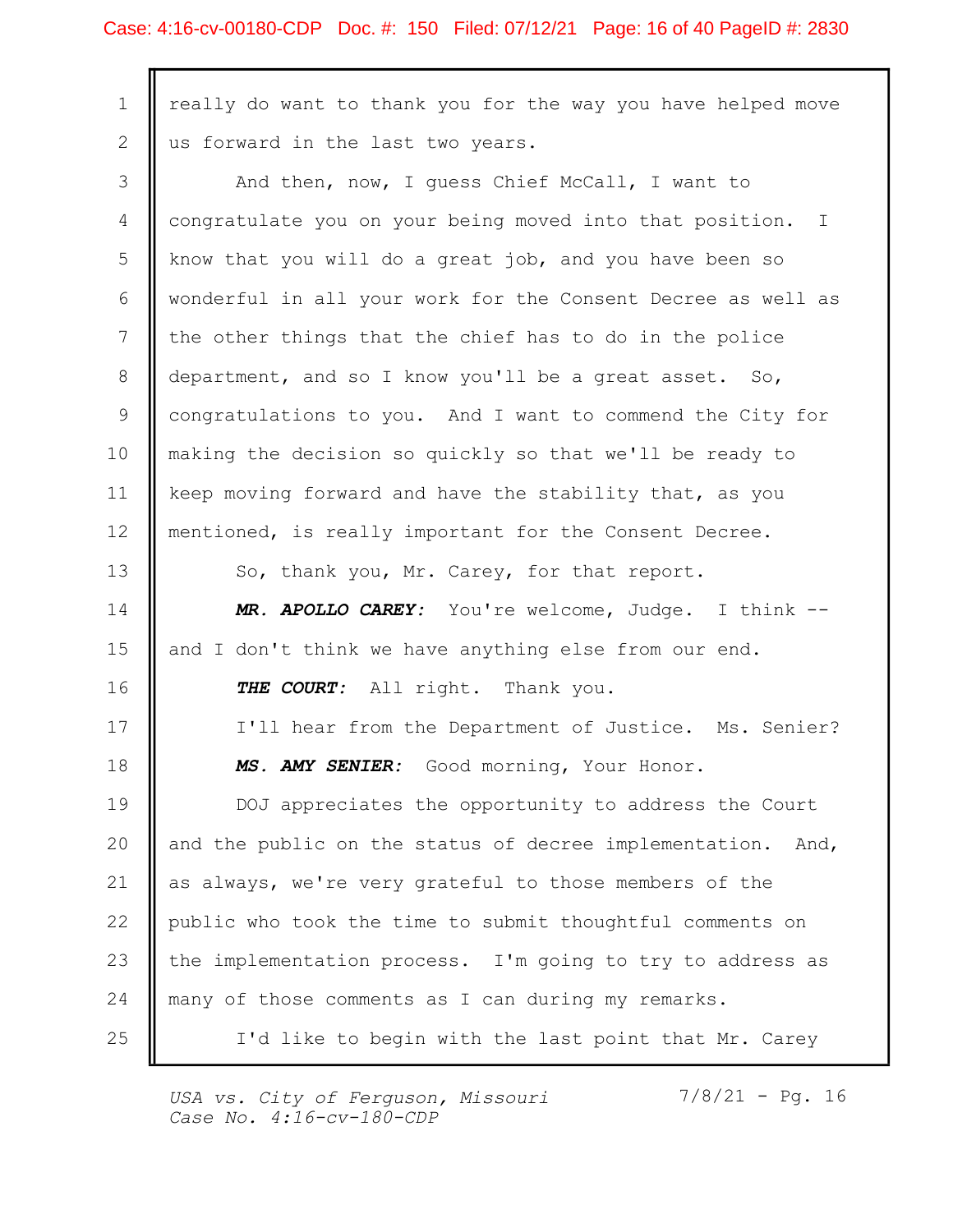## Case: 4:16-cv-00180-CDP Doc. #: 150 Filed: 07/12/21 Page: 16 of 40 PageID #: 2830

| $\mathbf 1$  | really do want to thank you for the way you have helped move |
|--------------|--------------------------------------------------------------|
| $\mathbf{2}$ | us forward in the last two years.                            |
| 3            | And then, now, I quess Chief McCall, I want to               |
| 4            | congratulate you on your being moved into that position. I   |
| 5            | know that you will do a great job, and you have been so      |
| 6            | wonderful in all your work for the Consent Decree as well as |
| 7            | the other things that the chief has to do in the police      |
| 8            | department, and so I know you'll be a great asset. So,       |
| 9            | congratulations to you. And I want to commend the City for   |
| 10           | making the decision so quickly so that we'll be ready to     |
| 11           | keep moving forward and have the stability that, as you      |
| 12           | mentioned, is really important for the Consent Decree.       |
| 13           | So, thank you, Mr. Carey, for that report.                   |
| 14           | MR. APOLLO CAREY: You're welcome, Judge. I think --          |
| 15           | and I don't think we have anything else from our end.        |
| 16           | THE COURT: All right. Thank you.                             |
| 17           | I'll hear from the Department of Justice. Ms. Senier?        |
| 18           | MS. AMY SENIER: Good morning, Your Honor.                    |
| 19           | DOJ appreciates the opportunity to address the Court         |
| 20           | and the public on the status of decree implementation. And,  |
| 21           | as always, we're very grateful to those members of the       |
| 22           | public who took the time to submit thoughtful comments on    |
| 23           | the implementation process. I'm going to try to address as   |
| 24           | many of those comments as I can during my remarks.           |
| 25           | I'd like to begin with the last point that Mr. Carey         |
|              |                                                              |

USA vs. City of Ferguson, Missouri 7/8/21 - Pg. 16 Case No. 4:16-cv-180-CDP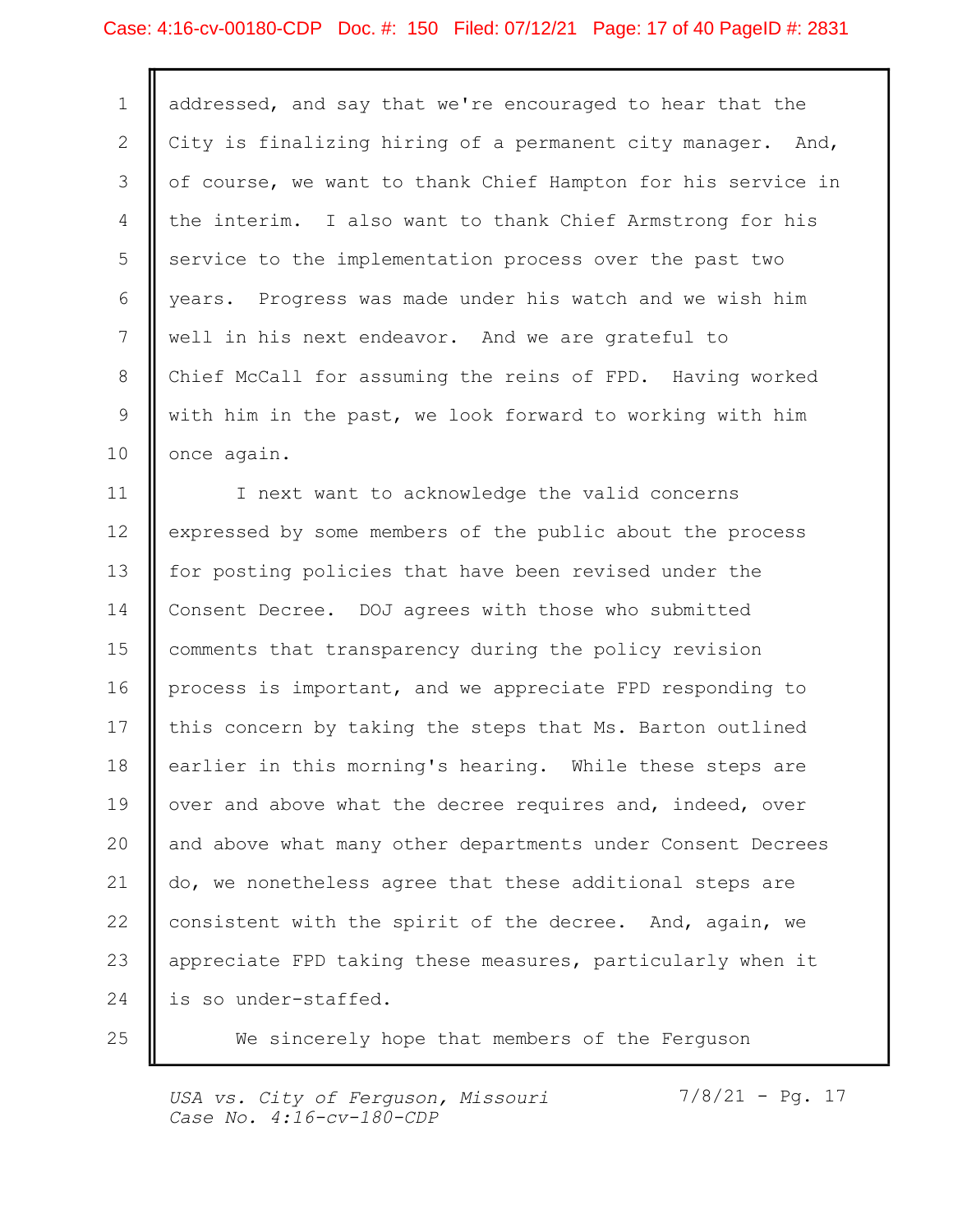## Case: 4:16-cv-00180-CDP Doc. #: 150 Filed: 07/12/21 Page: 17 of 40 PageID #: 2831

| $\mathbf{1}$ | addressed, and say that we're encouraged to hear that the    |
|--------------|--------------------------------------------------------------|
| 2            | City is finalizing hiring of a permanent city manager. And,  |
| 3            | of course, we want to thank Chief Hampton for his service in |
| 4            | the interim. I also want to thank Chief Armstrong for his    |
| 5            | service to the implementation process over the past two      |
| 6            | years. Progress was made under his watch and we wish him     |
| 7            | well in his next endeavor. And we are grateful to            |
| 8            | Chief McCall for assuming the reins of FPD. Having worked    |
| 9            | with him in the past, we look forward to working with him    |
| 10           | once again.                                                  |
| 11           | I next want to acknowledge the valid concerns                |
| 12           | expressed by some members of the public about the process    |
| 13           | for posting policies that have been revised under the        |
| 14           | Consent Decree. DOJ agrees with those who submitted          |
| 15           | comments that transparency during the policy revision        |
| 16           | process is important, and we appreciate FPD responding to    |
| 17           | this concern by taking the steps that Ms. Barton outlined    |
| 18           | earlier in this morning's hearing. While these steps are     |
| 19           | over and above what the decree requires and, indeed, over    |
| 20           | and above what many other departments under Consent Decrees  |
| 21           | do, we nonetheless agree that these additional steps are     |
| 22           | consistent with the spirit of the decree. And, again, we     |
| 23           | appreciate FPD taking these measures, particularly when it   |
| 24           | is so under-staffed.                                         |
| 25           | We sincerely hope that members of the Ferguson               |

USA vs. City of Ferguson, Missouri 7/8/21 - Pg. 17 Case No. 4:16-cv-180-CDP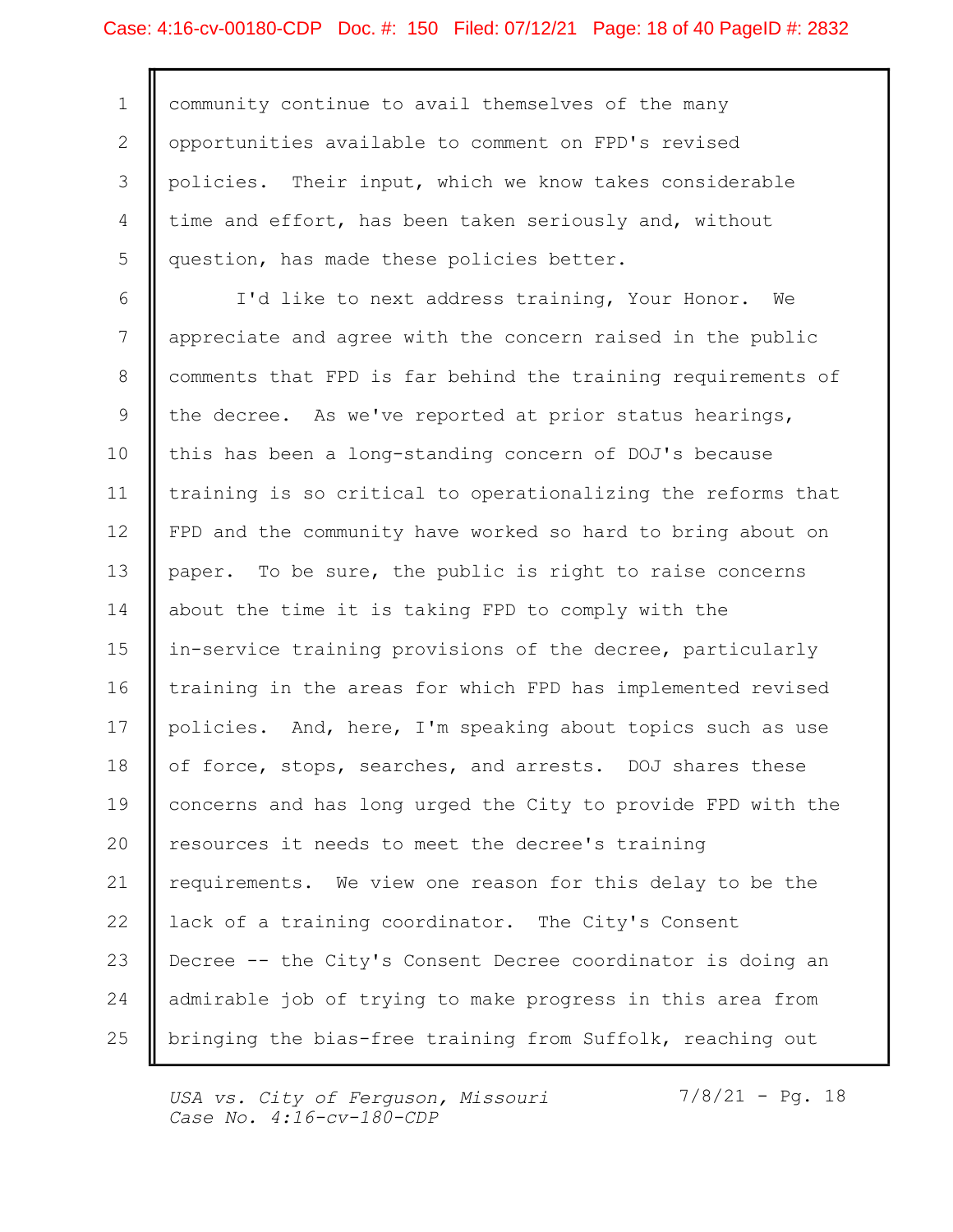### Case: 4:16-cv-00180-CDP Doc. #: 150 Filed: 07/12/21 Page: 18 of 40 PageID #: 2832

1 | community continue to avail themselves of the many 2 || opportunities available to comment on FPD's revised 3 || policies. Their input, which we know takes considerable 4 | time and effort, has been taken seriously and, without 5 || question, has made these policies better.

6 | I'd like to next address training, Your Honor. We 7 || appreciate and agree with the concern raised in the public 8 | comments that FPD is far behind the training requirements of 9 || the decree. As we've reported at prior status hearings, 10 || this has been a long-standing concern of DOJ's because 11 || training is so critical to operationalizing the reforms that 12 | FPD and the community have worked so hard to bring about on 13 || paper. To be sure, the public is right to raise concerns 14 || about the time it is taking FPD to comply with the 15 || in-service training provisions of the decree, particularly 16 || training in the areas for which FPD has implemented revised 17 || policies. And, here, I'm speaking about topics such as use 18 || of force, stops, searches, and arrests. DOJ shares these 19 || concerns and has long urged the City to provide FPD with the 20 || resources it needs to meet the decree's training 21 || requirements. We view one reason for this delay to be the 22 || lack of a training coordinator. The City's Consent 23 || Decree -- the City's Consent Decree coordinator is doing an 24 || admirable job of trying to make progress in this area from Theory Contain 25 || bringing the bias-free training from Suffolk, reaching out

USA vs. City of Ferguson, Missouri Case No. 4:16-cv-180-CDP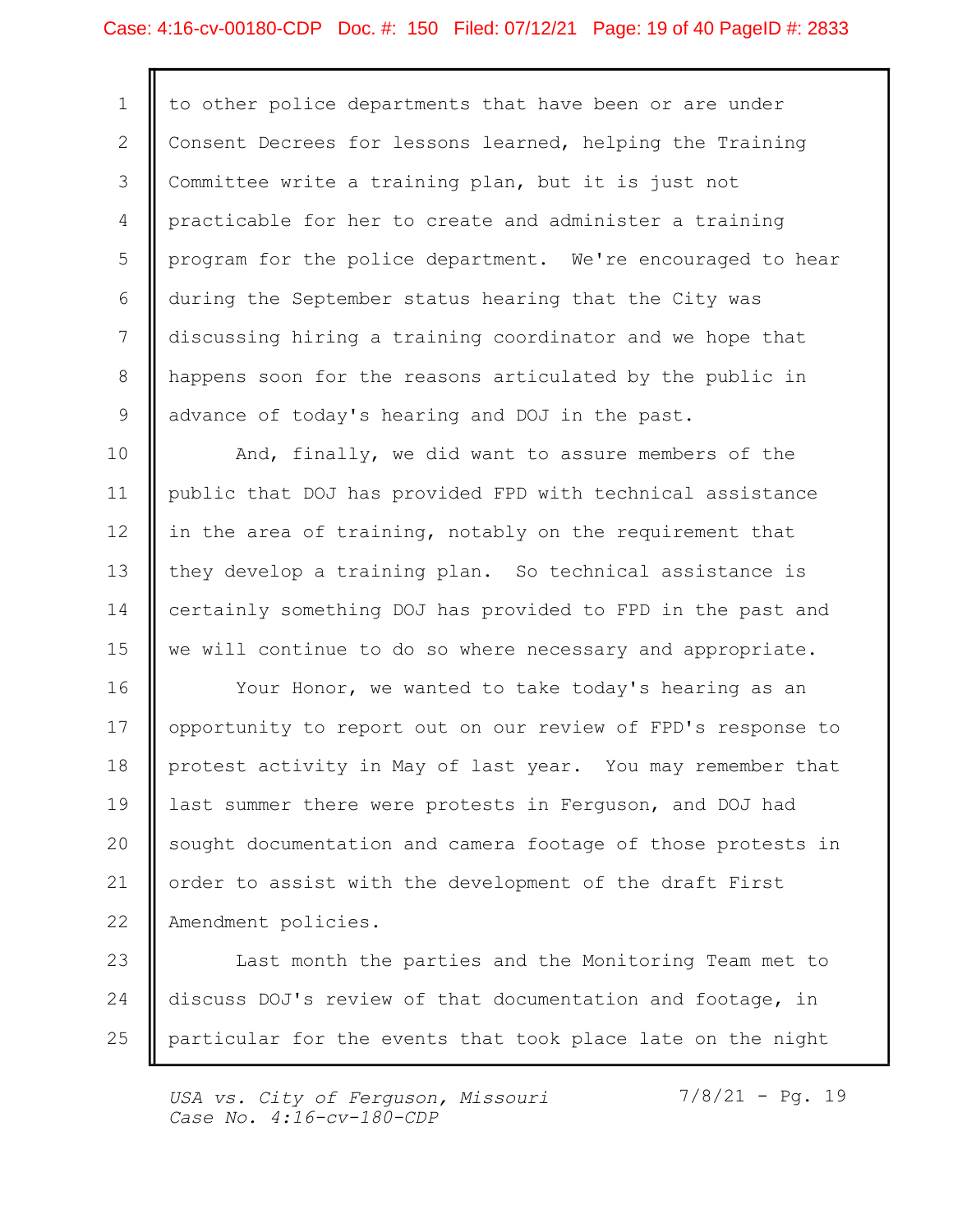#### Case: 4:16-cv-00180-CDP Doc. #: 150 Filed: 07/12/21 Page: 19 of 40 PageID #: 2833

1 | to other police departments that have been or are under 2 | Consent Decrees for lessons learned, helping the Training 3 Committee write a training plan, but it is just not 4 practicable for her to create and administer a training 5 || program for the police department. We're encouraged to hear 6 | during the September status hearing that the City was 7 || discussing hiring a training coordinator and we hope that 8 || happens soon for the reasons articulated by the public in 9 advance of today's hearing and DOJ in the past.

10 || And, finally, we did want to assure members of the 11 || public that DOJ has provided FPD with technical assistance 12 || in the area of training, notably on the requirement that 13 || they develop a training plan. So technical assistance is 14 | certainly something DOJ has provided to FPD in the past and 15 || we will continue to do so where necessary and appropriate.

16 || Your Honor, we wanted to take today's hearing as an 17 || opportunity to report out on our review of FPD's response to 18 || protest activity in May of last year. You may remember that 19 || last summer there were protests in Ferguson, and DOJ had 20 || sought documentation and camera footage of those protests in 21 || order to assist with the development of the draft First Amendment policies. 22

23 || Last month the parties and the Monitoring Team met to | 24 | discuss DOJ's review of that documentation and footage, in 25 || particular for the events that took place late on the night

USA vs. City of Ferguson, Missouri Case No. 4:16-cv-180-CDP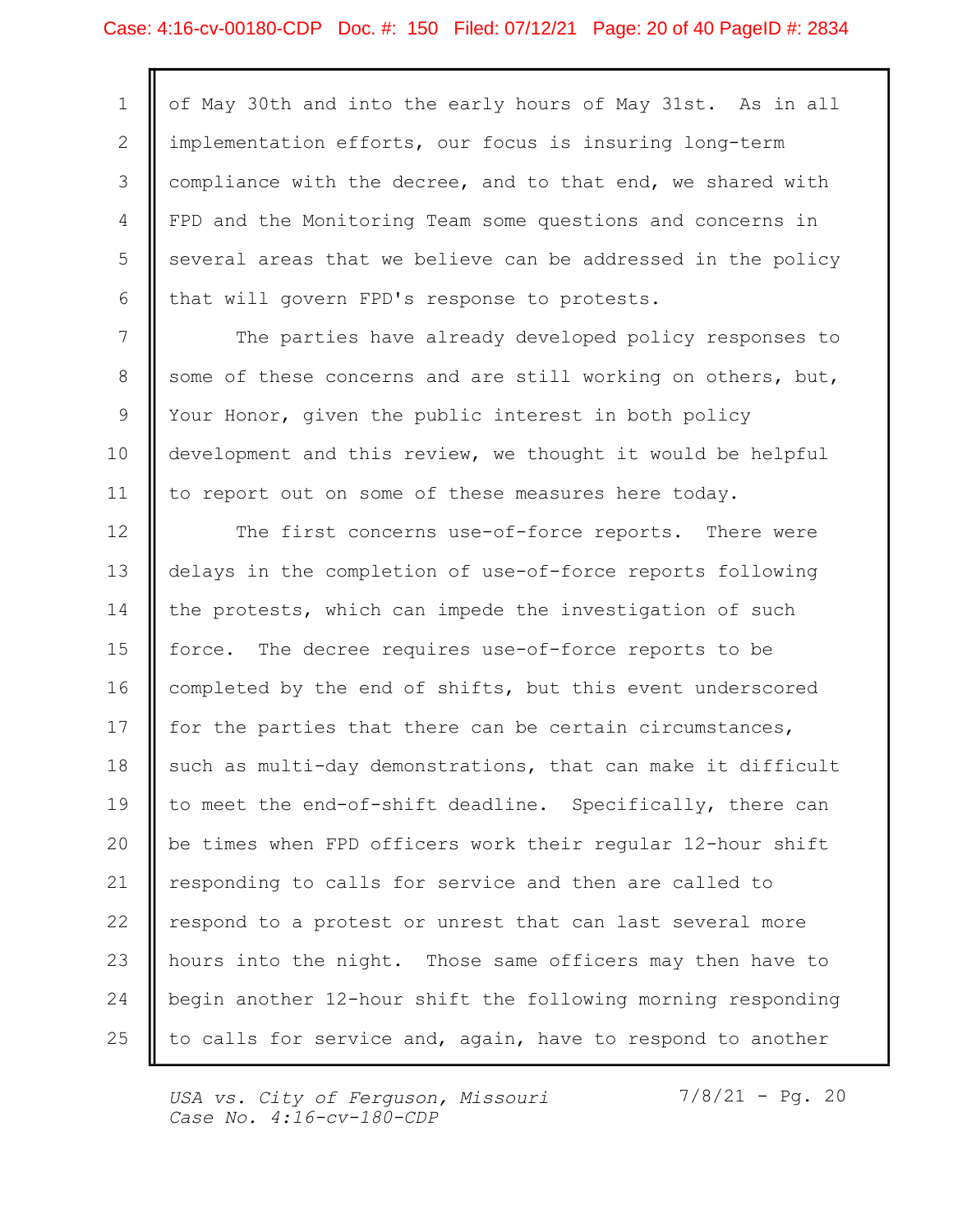#### Case: 4:16-cv-00180-CDP Doc. #: 150 Filed: 07/12/21 Page: 20 of 40 PageID #: 2834

1 || of May 30th and into the early hours of May 31st. As in all 2 | implementation efforts, our focus is insuring long-term 3 | compliance with the decree, and to that end, we shared with 4 | FPD and the Monitoring Team some questions and concerns in 5 S everal areas that we believe can be addressed in the policy 6 || that will govern FPD's response to protests.

7 | The parties have already developed policy responses to 8 Some of these concerns and are still working on others, but, 9 Vour Honor, given the public interest in both policy 10 || development and this review, we thought it would be helpful 11 || to report out on some of these measures here today.

12 || The first concerns use-of-force reports. There were | 13 || delays in the completion of use-of-force reports following 14 | the protests, which can impede the investigation of such 15 || force. The decree requires use-of-force reports to be 16 || completed by the end of shifts, but this event underscored 17  $\parallel$  for the parties that there can be certain circumstances, 18 || such as multi-day demonstrations, that can make it difficult 19 || to meet the end-of-shift deadline. Specifically, there can 20 || be times when FPD officers work their regular 12-hour shift 21 || responding to calls for service and then are called to 22 || respond to a protest or unrest that can last several more 23 || hours into the night. Those same officers may then have to 24 || begin another 12-hour shift the following morning responding | 25  $\parallel$  to calls for service and, again, have to respond to another  $\parallel$ 

USA vs. City of Ferguson, Missouri Case No.  $4:16$ -cv-180-CDP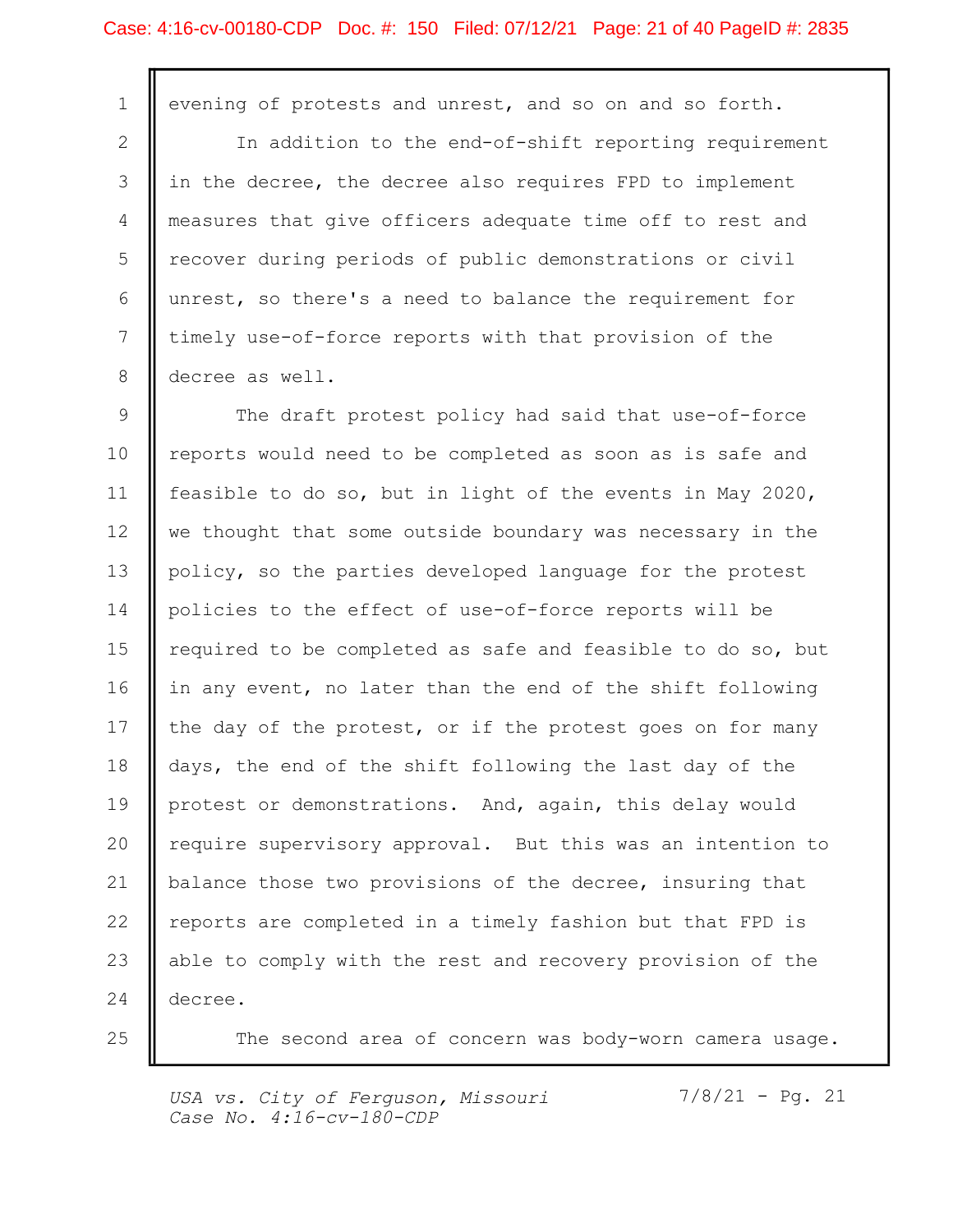1 evening of protests and unrest, and so on and so forth. 2 || In addition to the end-of-shift reporting requirement 3 || in the decree, the decree also requires FPD to implement 4 | measures that give officers adequate time off to rest and 5 || recover during periods of public demonstrations or civil unrest, so there's a need to balance the requirement for 6 7 || timely use-of-force reports with that provision of the 8 decree as well.

9 || The draft protest policy had said that use-of-force 10 || reports would need to be completed as soon as is safe and 11  $\parallel$  feasible to do so, but in light of the events in May 2020,  $\parallel$ 12 || we thought that some outside boundary was necessary in the 13 || policy, so the parties developed language for the protest 14 || policies to the effect of use-of-force reports will be 15 || required to be completed as safe and feasible to do so, but 16 || in any event, no later than the end of the shift following 17  $\parallel$  the day of the protest, or if the protest goes on for many 18 || days, the end of the shift following the last day of the 19 || protest or demonstrations. And, again, this delay would 20 || require supervisory approval. But this was an intention to 21 | balance those two provisions of the decree, insuring that 22 | reports are completed in a timely fashion but that FPD is 23 || able to comply with the rest and recovery provision of the 24 decree.

25  $\parallel$  The second area of concern was body-worn camera usage.

USA vs. City of Ferguson, Missouri Case No. 4:16-cv-180-CDP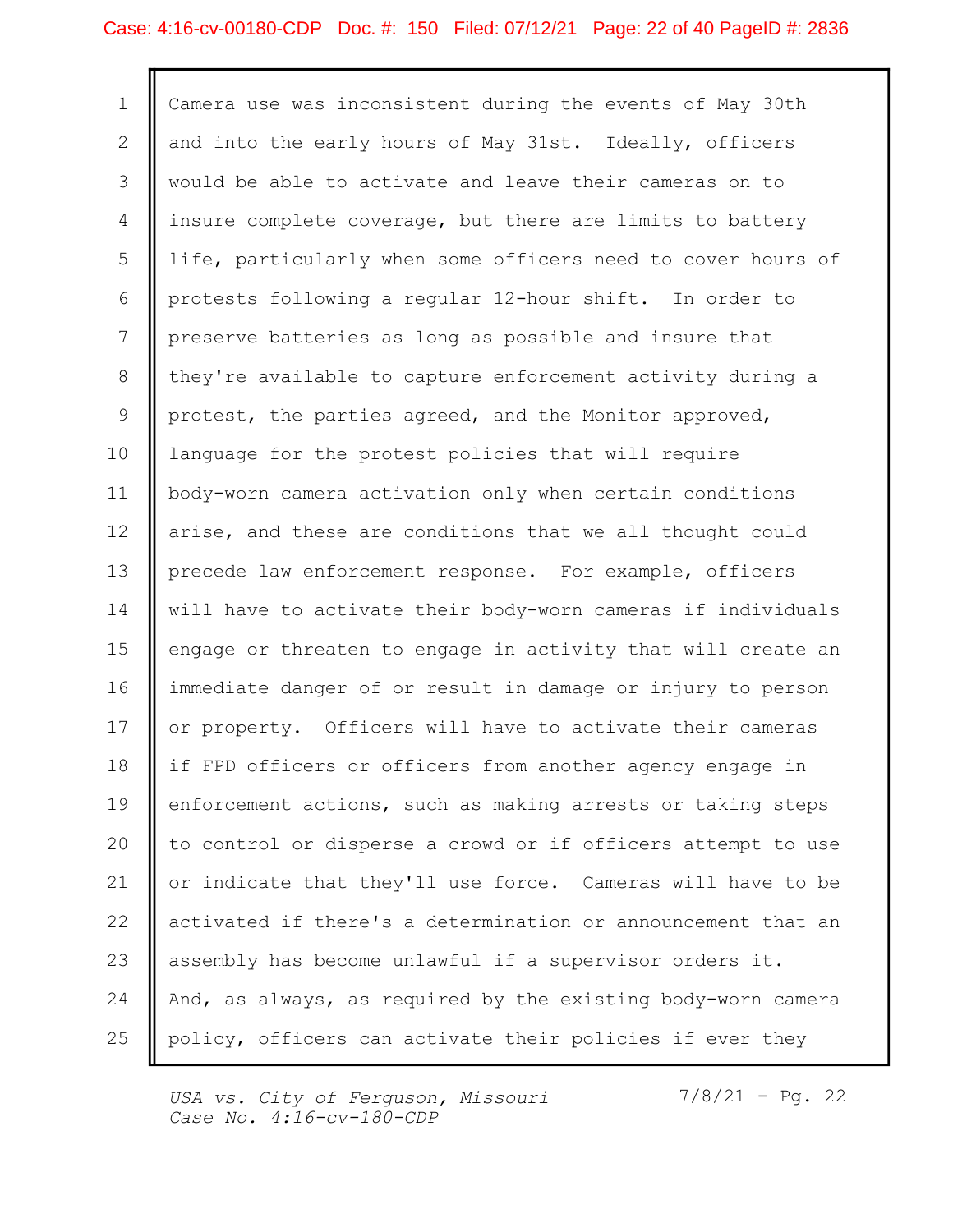#### Case: 4:16-cv-00180-CDP Doc. #: 150 Filed: 07/12/21 Page: 22 of 40 PageID #: 2836

1 Camera use was inconsistent during the events of May 30th 2 || and into the early hours of May 31st. Ideally, officers 3 || would be able to activate and leave their cameras on to 4 | insure complete coverage, but there are limits to battery 5 || life, particularly when some officers need to cover hours of protests following a regular 12-hour shift. In order to 6 7 || preserve batteries as long as possible and insure that 8 || they're available to capture enforcement activity during a 9 || protest, the parties agreed, and the Monitor approved, 10 || language for the protest policies that will require body-worn camera activation only when certain conditions 11 12 | arise, and these are conditions that we all thought could 13 || precede law enforcement response. For example, officers 14 || will have to activate their body-worn cameras if individuals 15 || engage or threaten to engage in activity that will create an immediate danger of or result in damage or injury to person 16 17 || or property. Officers will have to activate their cameras 18 || if FPD officers or officers from another agency engage in 19 || enforcement actions, such as making arrests or taking steps 20 || to control or disperse a crowd or if officers attempt to use 21 || or indicate that they'll use force. Cameras will have to be 22 | activated if there's a determination or announcement that an 23 || assembly has become unlawful if a supervisor orders it. 24 || And, as always, as required by the existing body-worn camera 25  $\parallel$  policy, officers can activate their policies if ever they  $\parallel$ 

USA vs. City of Ferguson, Missouri Case No. 4:16-cv-180-CDP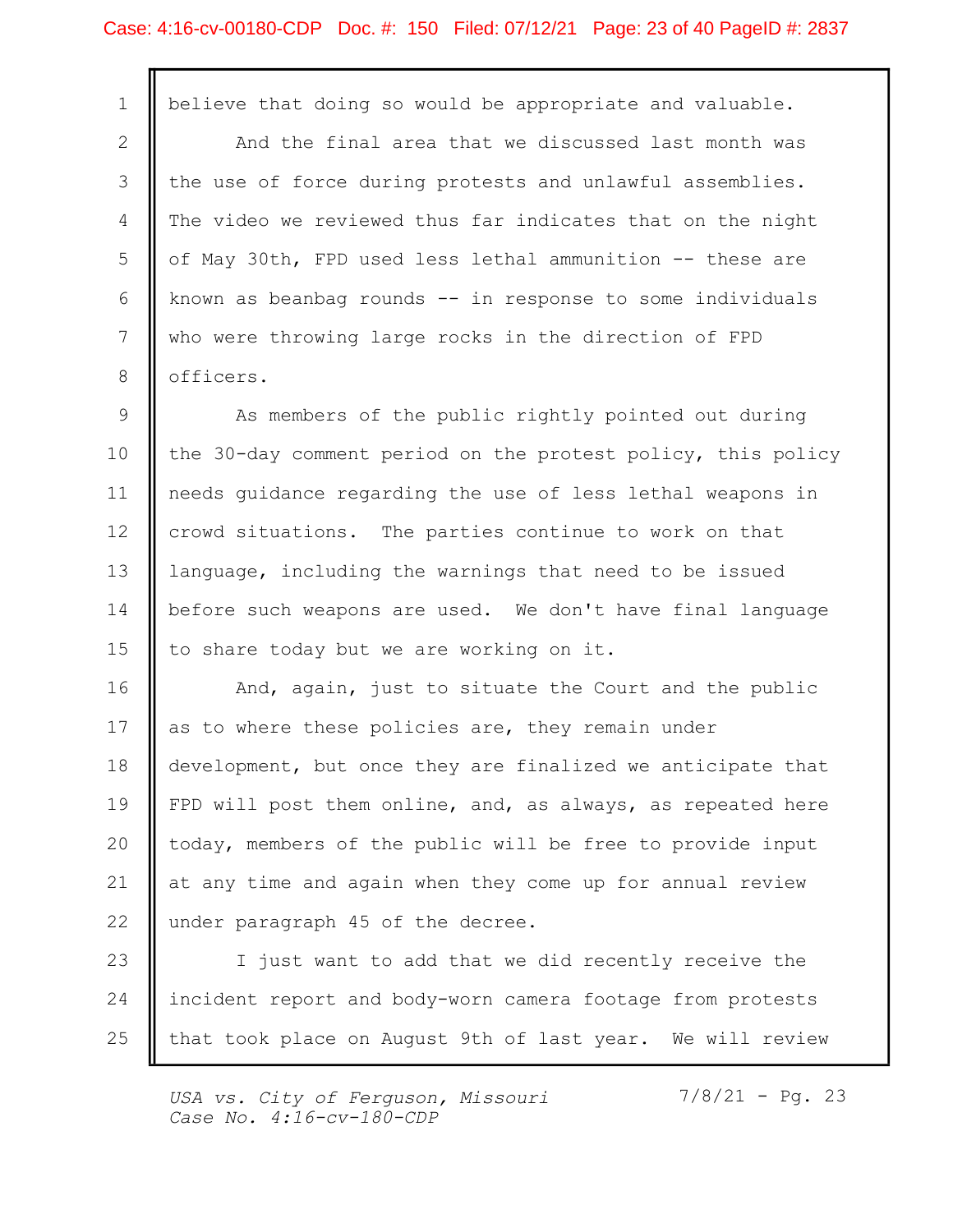#### Case: 4:16-cv-00180-CDP Doc. #: 150 Filed: 07/12/21 Page: 23 of 40 PageID #: 2837

1 | believe that doing so would be appropriate and valuable. 2 || And the final area that we discussed last month was 3 || the use of force during protests and unlawful assemblies. 4 The video we reviewed thus far indicates that on the night 5 || of May 30th, FPD used less lethal ammunition -- these are 6 || known as beanbag rounds -- in response to some individuals 7 || who were throwing large rocks in the direction of FPD 8 || officers.

9 | As members of the public rightly pointed out during | 10 || the 30-day comment period on the protest policy, this policy 11 || needs guidance regarding the use of less lethal weapons in 12 || crowd situations. The parties continue to work on that 13 | language, including the warnings that need to be issued 14 | before such weapons are used. We don't have final language 15 || to share today but we are working on it.

16 || And, again, just to situate the Court and the public 17 as to where these policies are, they remain under 18 | development, but once they are finalized we anticipate that 19 || FPD will post them online, and, as always, as repeated here 20 || today, members of the public will be free to provide input 21 || at any time and again when they come up for annual review and all and the same when the set of the set o 22 | under paragraph 45 of the decree.

23 || I just want to add that we did recently receive the 24 || incident report and body-worn camera footage from protests 25 || that took place on August 9th of last year. We will review letter than

USA vs. City of Ferguson, Missouri Case No.  $4:16$ -cv-180-CDP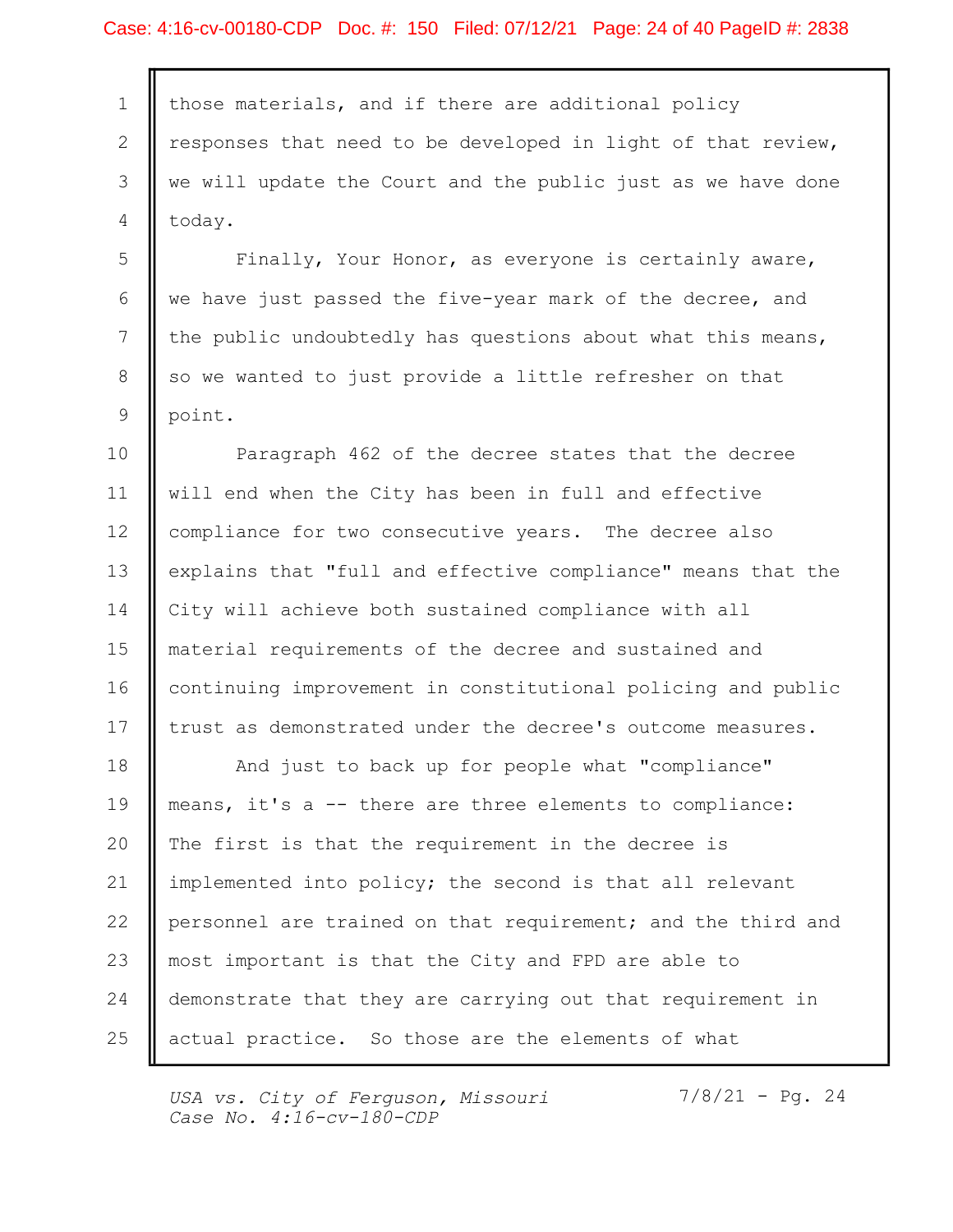#### Case: 4:16-cv-00180-CDP Doc. #: 150 Filed: 07/12/21 Page: 24 of 40 PageID #: 2838

1 | those materials, and if there are additional policy 2 | responses that need to be developed in light of that review, 3 || we will update the Court and the public just as we have done 4 today.

5 | Finally, Your Honor, as everyone is certainly aware, 6 we have just passed the five-year mark of the decree, and 7 || the public undoubtedly has questions about what this means, 8 || so we wanted to just provide a little refresher on that 9 point.

10 || Paragraph 462 of the decree states that the decree 11 || will end when the City has been in full and effective 12 | compliance for two consecutive years. The decree also 13 | explains that "full and effective compliance" means that the 14 City will achieve both sustained compliance with all 15 || material requirements of the decree and sustained and 16 || continuing improvement in constitutional policing and public | 17 || trust as demonstrated under the decree's outcome measures.

18 || And just to back up for people what "compliance" 19 || means, it's a -- there are three elements to compliance: 20 || The first is that the requirement in the decree is 21 || implemented into policy; the second is that all relevant 22 | personnel are trained on that requirement; and the third and 23 || most important is that the City and FPD are able to 24 | demonstrate that they are carrying out that requirement in 25 || actual practice. So those are the elements of what

USA vs. City of Ferguson, Missouri Case No. 4:16-cv-180-CDP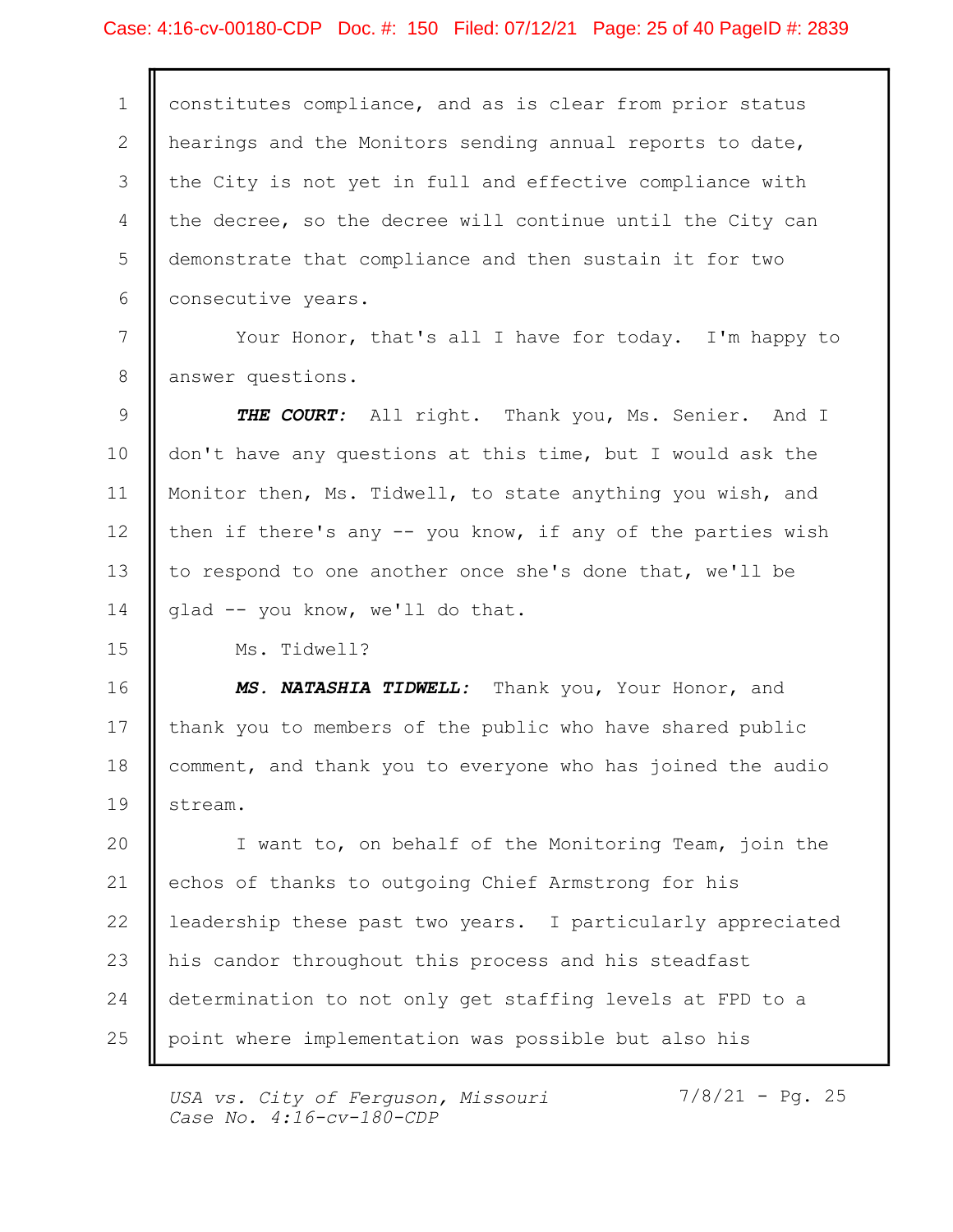#### Case: 4:16-cv-00180-CDP Doc. #: 150 Filed: 07/12/21 Page: 25 of 40 PageID #: 2839

1 | constitutes compliance, and as is clear from prior status 2 | hearings and the Monitors sending annual reports to date, 3 || the City is not yet in full and effective compliance with 4 | the decree, so the decree will continue until the City can 5 | demonstrate that compliance and then sustain it for two 6 | consecutive years. 7 | Your Honor, that's all I have for today. I'm happy to  $\vert$ 8 answer questions.  $9$  **THE COURT:** All right. Thank you, Ms. Senier. And I 10 || don't have any questions at this time, but I would ask the 11 | Monitor then, Ms. Tidwell, to state anything you wish, and 12  $\parallel$  then if there's any -- you know, if any of the parties wish 13 || to respond to one another once she's done that, we'll be 14  $\parallel$  glad -- you know, we'll do that. Ms. Tidwell? 15 MS. NATASHIA TIDWELL: Thank you, Your Honor, and 16 17 || thank you to members of the public who have shared public 18 | comment, and thank you to everyone who has joined the audio stream. 19 20  $\parallel$  I want to, on behalf of the Monitoring Team, join the  $\parallel$ 21 || echos of thanks to outgoing Chief Armstrong for his 22 | leadership these past two years. I particularly appreciated 23 || his candor throughout this process and his steadfast 24 || determination to not only get staffing levels at FPD to a 25 || point where implementation was possible but also his

USA vs. City of Ferguson, Missouri Case No.  $4:16$ -cv-180-CDP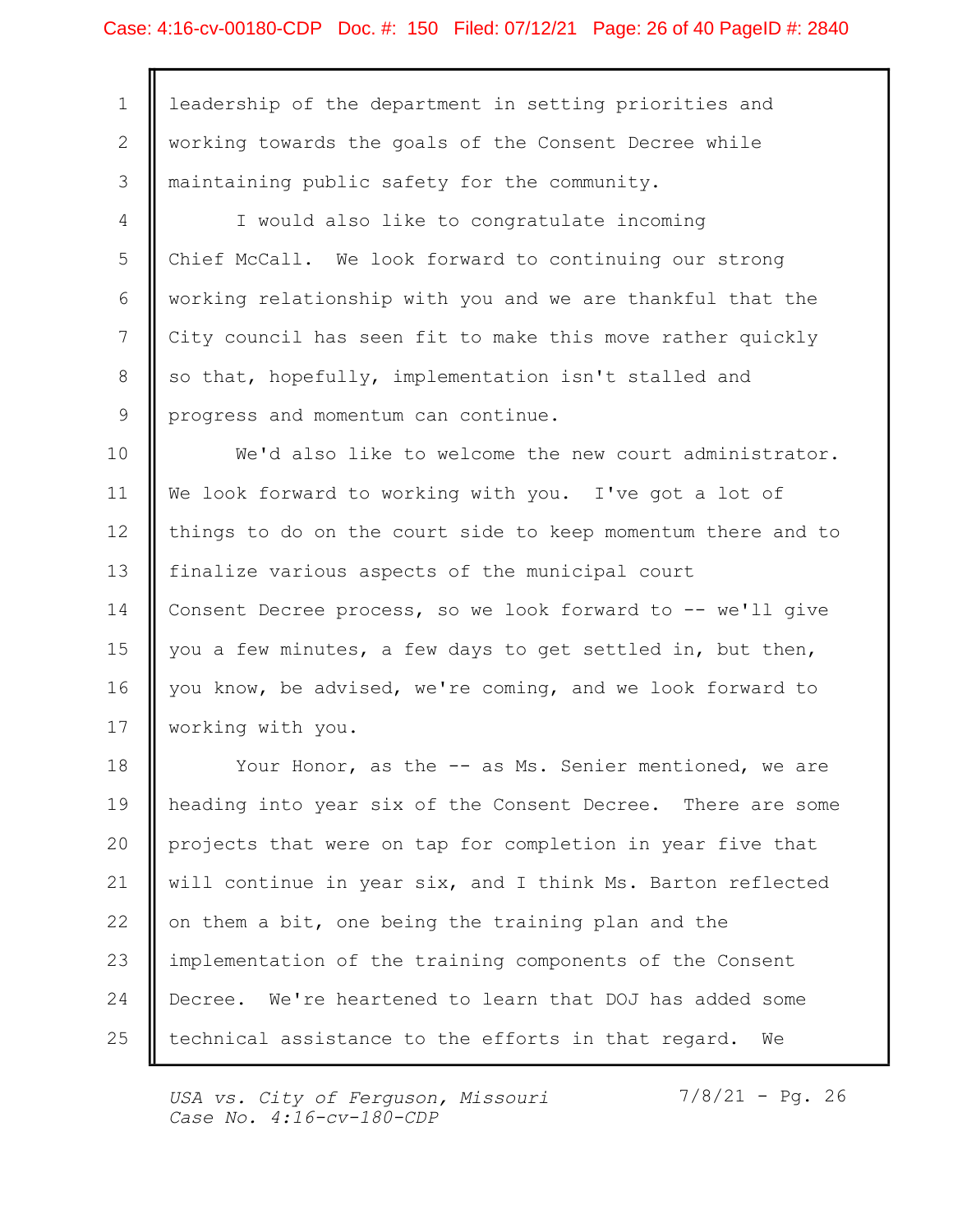#### Case: 4:16-cv-00180-CDP Doc. #: 150 Filed: 07/12/21 Page: 26 of 40 PageID #: 2840

1 | leadership of the department in setting priorities and 2 || working towards the goals of the Consent Decree while 3 || maintaining public safety for the community. 4 | I would also like to congratulate incoming 5 || Chief McCall. We look forward to continuing our strong 6 || working relationship with you and we are thankful that the 7 || City council has seen fit to make this move rather quickly 8 || so that, hopefully, implementation isn't stalled and 9 | progress and momentum can continue. 10 || We'd also like to welcome the new court administrator. 11 || We look forward to working with you. I've got a lot of 12 | things to do on the court side to keep momentum there and to 13 || finalize various aspects of the municipal court 14 | Consent Decree process, so we look forward to -- we'll give 15  $\parallel$  you a few minutes, a few days to get settled in, but then, 16 || you know, be advised, we're coming, and we look forward to working with you. 17 18 | Your Honor, as the -- as Ms. Senier mentioned, we are 19 || heading into year six of the Consent Decree. There are some 20 || projects that were on tap for completion in year five that 21 || will continue in year six, and I think Ms. Barton reflected 22 || on them a bit, one being the training plan and the 23 | implementation of the training components of the Consent 24 || Decree. We're heartened to learn that DOJ has added some 25 || technical assistance to the efforts in that regard. We

USA vs. City of Ferguson, Missouri Case No. 4:16-cv-180-CDP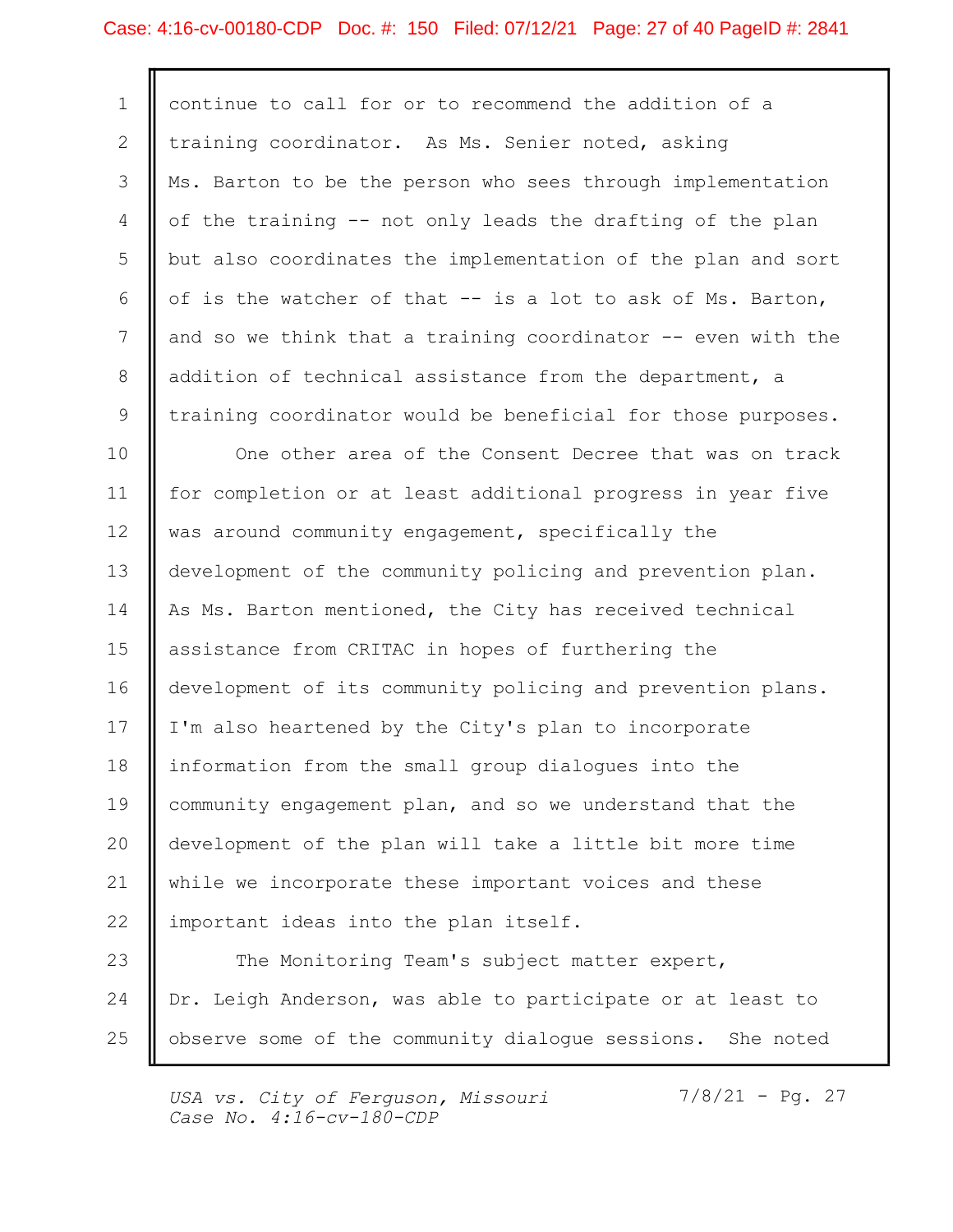#### Case: 4:16-cv-00180-CDP Doc. #: 150 Filed: 07/12/21 Page: 27 of 40 PageID #: 2841

1 | continue to call for or to recommend the addition of a 2 || training coordinator. As Ms. Senier noted, asking 3 || Ms. Barton to be the person who sees through implementation 4 || of the training -- not only leads the drafting of the plan 5 | but also coordinates the implementation of the plan and sort 6 || of is the watcher of that  $-$  is a lot to ask of Ms. Barton, 7 || and so we think that a training coordinator -- even with the 8 || addition of technical assistance from the department, a 9 || training coordinator would be beneficial for those purposes.

10 || One other area of the Consent Decree that was on track 11 || for completion or at least additional progress in year five 12 || was around community engagement, specifically the 13 | development of the community policing and prevention plan. 14 As Ms. Barton mentioned, the City has received technical 15 || assistance from CRITAC in hopes of furthering the 16 || development of its community policing and prevention plans. 17 || I'm also heartened by the City's plan to incorporate 18 | information from the small group dialogues into the community engagement plan, and so we understand that the 19 20 || development of the plan will take a little bit more time 21 || while we incorporate these important voices and these 22 | important ideas into the plan itself. 23 || The Monitoring Team's subject matter expert, 24 || Dr. Leigh Anderson, was able to participate or at least to 25 | observe some of the community dialogue sessions. She noted

USA vs. City of Ferguson, Missouri Case No.  $4:16$ -cv-180-CDP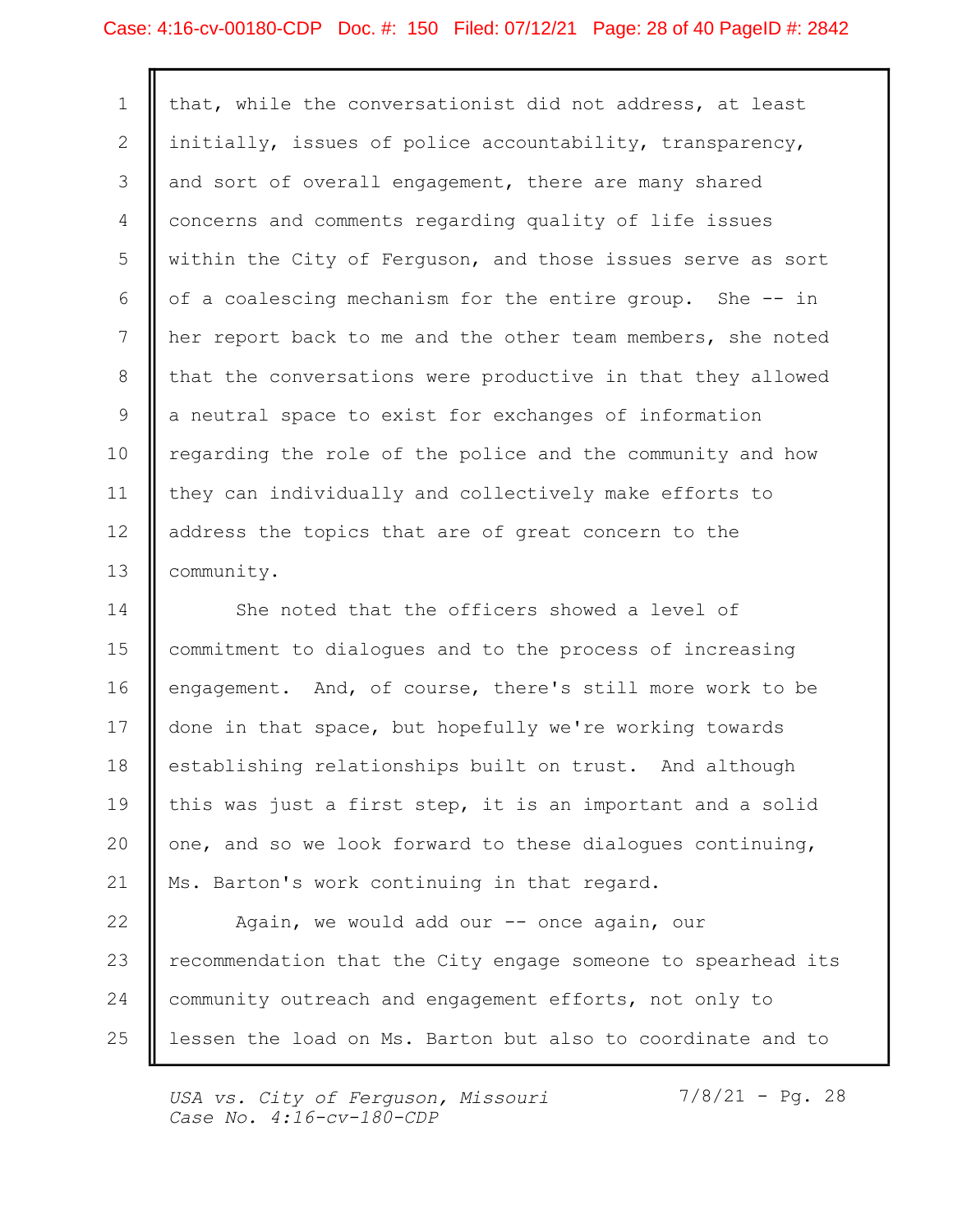## Case: 4:16-cv-00180-CDP Doc. #: 150 Filed: 07/12/21 Page: 28 of 40 PageID #: 2842

| $\mathbf{1}$    | that, while the conversationist did not address, at least    |
|-----------------|--------------------------------------------------------------|
| $\overline{2}$  | initially, issues of police accountability, transparency,    |
| 3               | and sort of overall engagement, there are many shared        |
| 4               | concerns and comments regarding quality of life issues       |
| 5               | within the City of Ferguson, and those issues serve as sort  |
| 6               | of a coalescing mechanism for the entire group. She -- in    |
| 7               | her report back to me and the other team members, she noted  |
| 8               | that the conversations were productive in that they allowed  |
| 9               | a neutral space to exist for exchanges of information        |
| 10 <sub>o</sub> | regarding the role of the police and the community and how   |
| 11              | they can individually and collectively make efforts to       |
| 12              | address the topics that are of great concern to the          |
| 13              | community.                                                   |
| 14              | She noted that the officers showed a level of                |
| 15 <sub>2</sub> | commitment to dialogues and to the process of increasing     |
| 16              | engagement. And, of course, there's still more work to be    |
| 17              | done in that space, but hopefully we're working towards      |
| 18              | establishing relationships built on trust. And although      |
| 19              | this was just a first step, it is an important and a solid   |
| 20              | one, and so we look forward to these dialogues continuing,   |
| 21              | Ms. Barton's work continuing in that regard.                 |
| 22              | Again, we would add our -- once again, our                   |
| 23              | recommendation that the City engage someone to spearhead its |
| 24              | community outreach and engagement efforts, not only to       |
| 25              | lessen the load on Ms. Barton but also to coordinate and to  |
|                 |                                                              |

USA vs. City of Ferguson, Missouri 7/8/21 - Pg. 28 Case No. 4:16-cv-180-CDP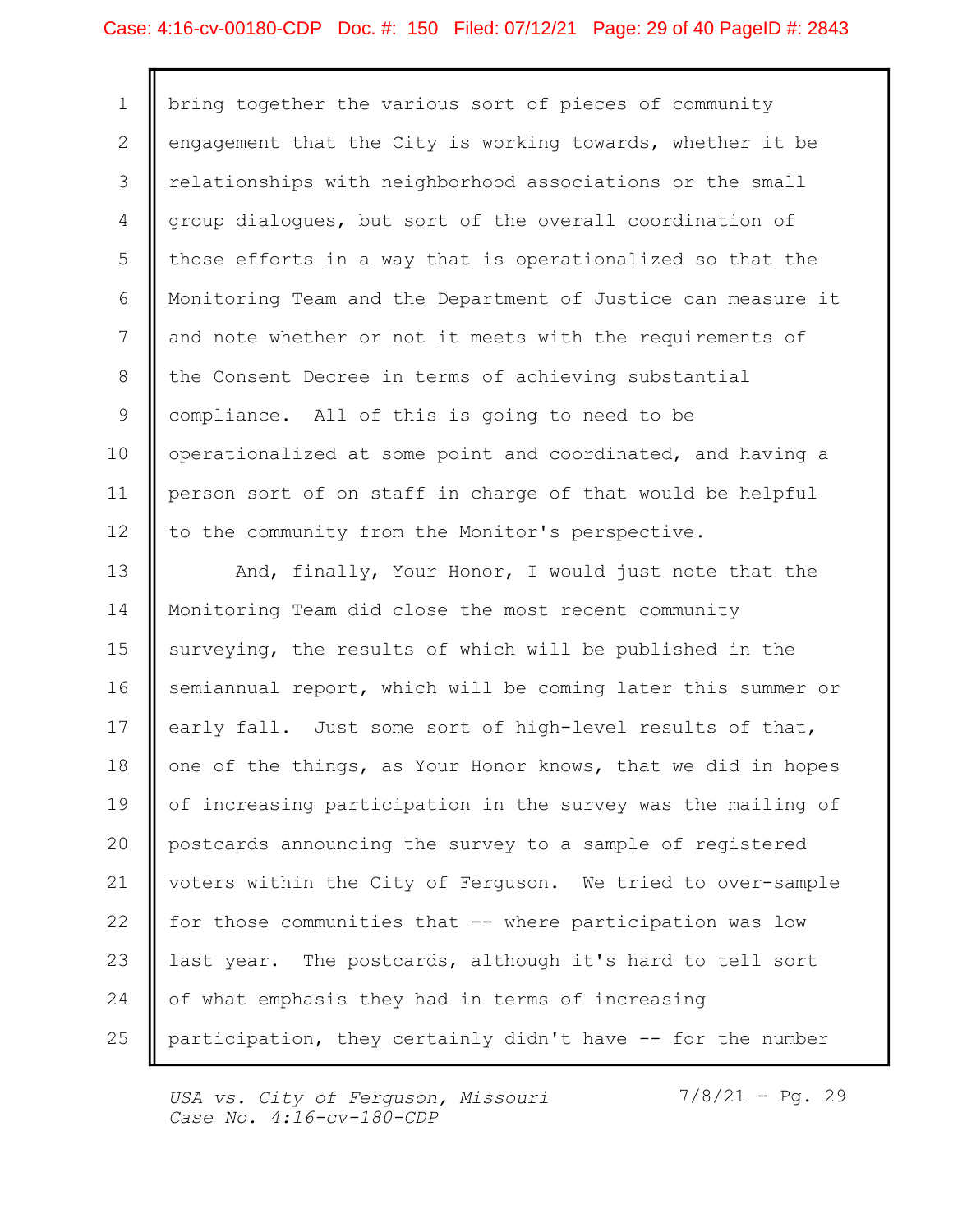#### Case: 4:16-cv-00180-CDP Doc. #: 150 Filed: 07/12/21 Page: 29 of 40 PageID #: 2843

1 | bring together the various sort of pieces of community 2 | engagement that the City is working towards, whether it be 3 || relationships with neighborhood associations or the small 4 group dialogues, but sort of the overall coordination of 5 || those efforts in a way that is operationalized so that the Monitoring Team and the Department of Justice can measure it 6 7 || and note whether or not it meets with the requirements of 8 || the Consent Decree in terms of achieving substantial 9 || compliance. All of this is going to need to be 10 || operationalized at some point and coordinated, and having a 11 || person sort of on staff in charge of that would be helpful 12 || to the community from the Monitor's perspective.

13 || And, finally, Your Honor, I would just note that the 14 | Monitoring Team did close the most recent community 15 || surveying, the results of which will be published in the 16 || semiannual report, which will be coming later this summer or 17  $\parallel$  early fall. Just some sort of high-level results of that, 18 || one of the things, as Your Honor knows, that we did in hopes 19 || of increasing participation in the survey was the mailing of 20 || postcards announcing the survey to a sample of registered 21 || voters within the City of Ferguson. We tried to over-sample 22 | for those communities that -- where participation was low 23 || last year. The postcards, although it's hard to tell sort 24 || of what emphasis they had in terms of increasing 25 || participation, they certainly didn't have -- for the number

USA vs. City of Ferguson, Missouri Case No.  $4:16$ -cv-180-CDP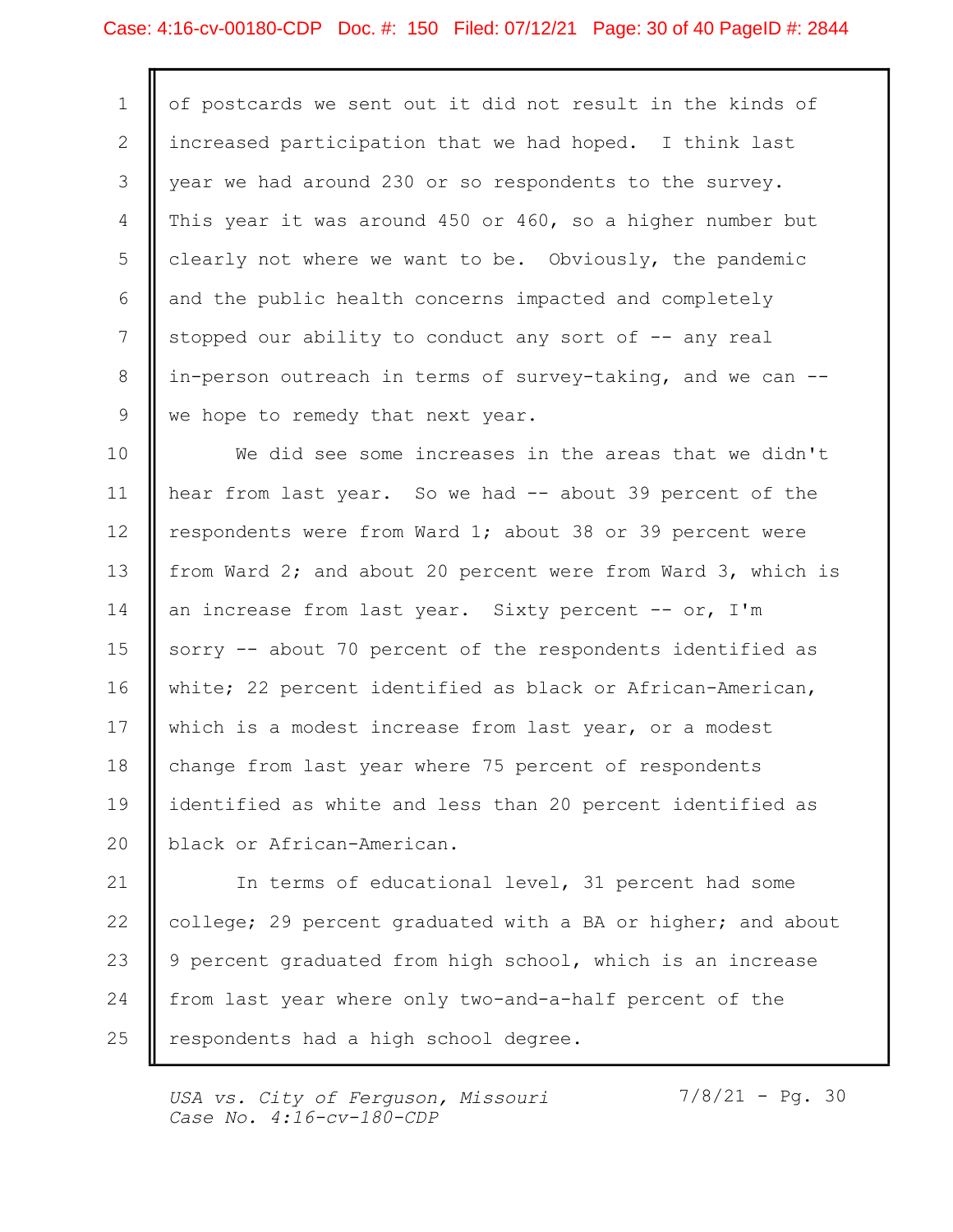#### Case: 4:16-cv-00180-CDP Doc. #: 150 Filed: 07/12/21 Page: 30 of 40 PageID #: 2844

1 || of postcards we sent out it did not result in the kinds of 2 || increased participation that we had hoped. I think last 3 || year we had around 230 or so respondents to the survey. 4 || This year it was around 450 or 460, so a higher number but 5 | clearly not where we want to be. Obviously, the pandemic 6 and the public health concerns impacted and completely and  $\vert$ 7 || stopped our ability to conduct any sort of -- any real 8 || in-person outreach in terms of survey-taking, and we can --9 we hope to remedy that next year.

10 || We did see some increases in the areas that we didn't 11 || hear from last year. So we had -- about 39 percent of the 12 || respondents were from Ward 1; about 38 or 39 percent were 13 | from Ward 2; and about 20 percent were from Ward 3, which is 14 || an increase from last year. Sixty percent -- or, I'm 15 || sorry -- about 70 percent of the respondents identified as white; 22 percent identified as black or African-American, 16 17 || which is a modest increase from last year, or a modest change from last year where 75 percent of respondents 18 19 || identified as white and less than 20 percent identified as black or African-American. 20

21 || In terms of educational level, 31 percent had some 22 | college; 29 percent graduated with a BA or higher; and about 23 || 9 percent graduated from high school, which is an increase 24 || from last year where only two-and-a-half percent of the 25 | respondents had a high school degree.

USA vs. City of Ferguson, Missouri Case No. 4:16-cv-180-CDP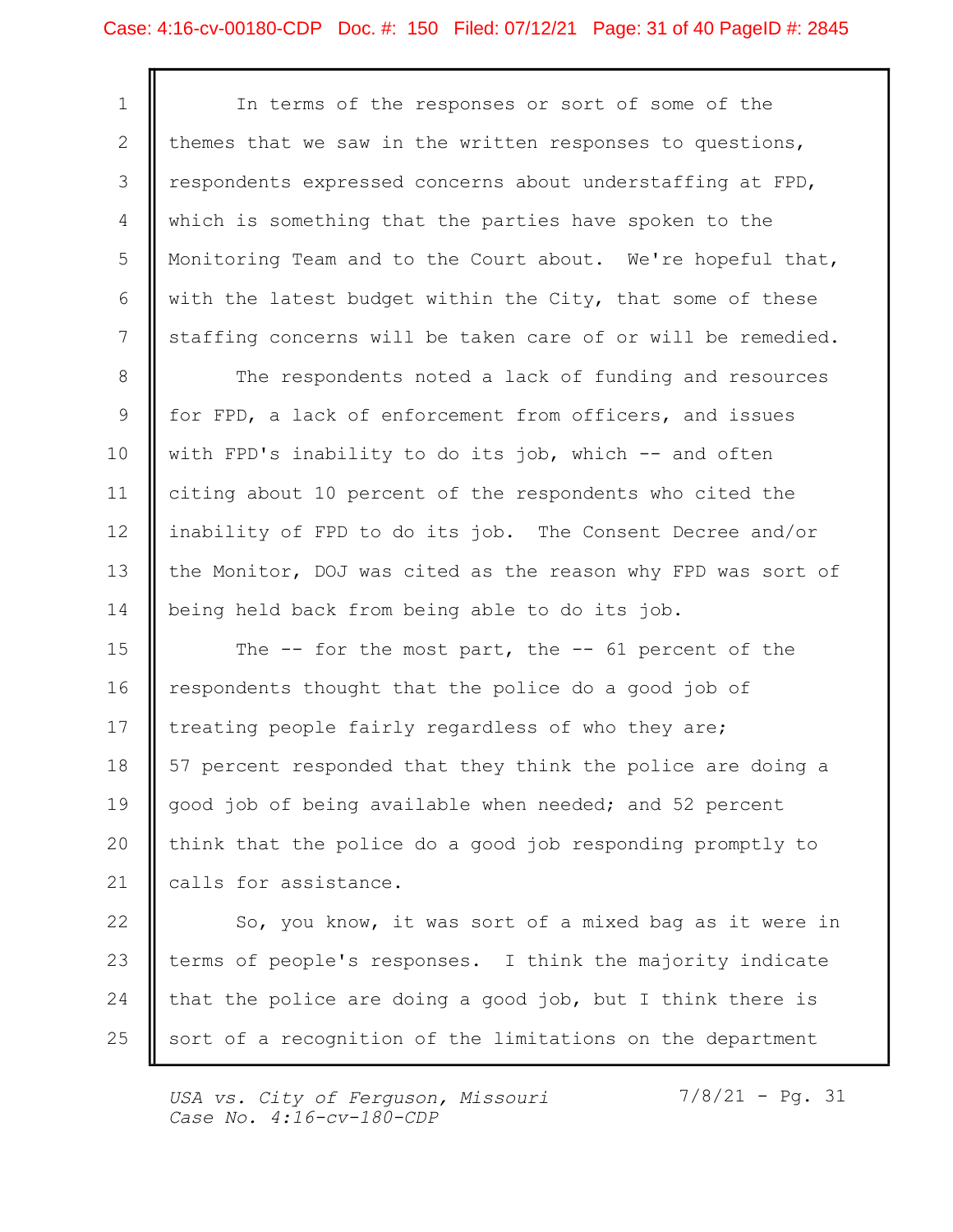#### Case: 4:16-cv-00180-CDP Doc. #: 150 Filed: 07/12/21 Page: 31 of 40 PageID #: 2845

1 || In terms of the responses or sort of some of the 2 | themes that we saw in the written responses to questions, 3 || respondents expressed concerns about understaffing at FPD, 4 Which is something that the parties have spoken to the 5 | Monitoring Team and to the Court about. We're hopeful that, 6 || with the latest budget within the City, that some of these 7 || staffing concerns will be taken care of or will be remedied.

8 || The respondents noted a lack of funding and resources 9 || for FPD, a lack of enforcement from officers, and issues 10 || with FPD's inability to do its job, which -- and often 11 || citing about 10 percent of the respondents who cited the 12 || inability of FPD to do its job. The Consent Decree and/or 13 || the Monitor, DOJ was cited as the reason why FPD was sort of 14 | being held back from being able to do its job.

15  $\parallel$  The -- for the most part, the -- 61 percent of the 16 || respondents thought that the police do a good job of 17 || treating people fairly regardless of who they are; 18 || 57 percent responded that they think the police are doing a 19 || good job of being available when needed; and 52 percent 20 || think that the police do a good job responding promptly to  $\qquad \qquad$ 21 || calls for assistance.

22 | So, you know, it was sort of a mixed bag as it were in 23 || terms of people's responses. I think the majority indicate 24  $\parallel$  that the police are doing a good job, but I think there is 25 || sort of a recognition of the limitations on the department

USA vs. City of Ferguson, Missouri Case No.  $4:16$ -cv-180-CDP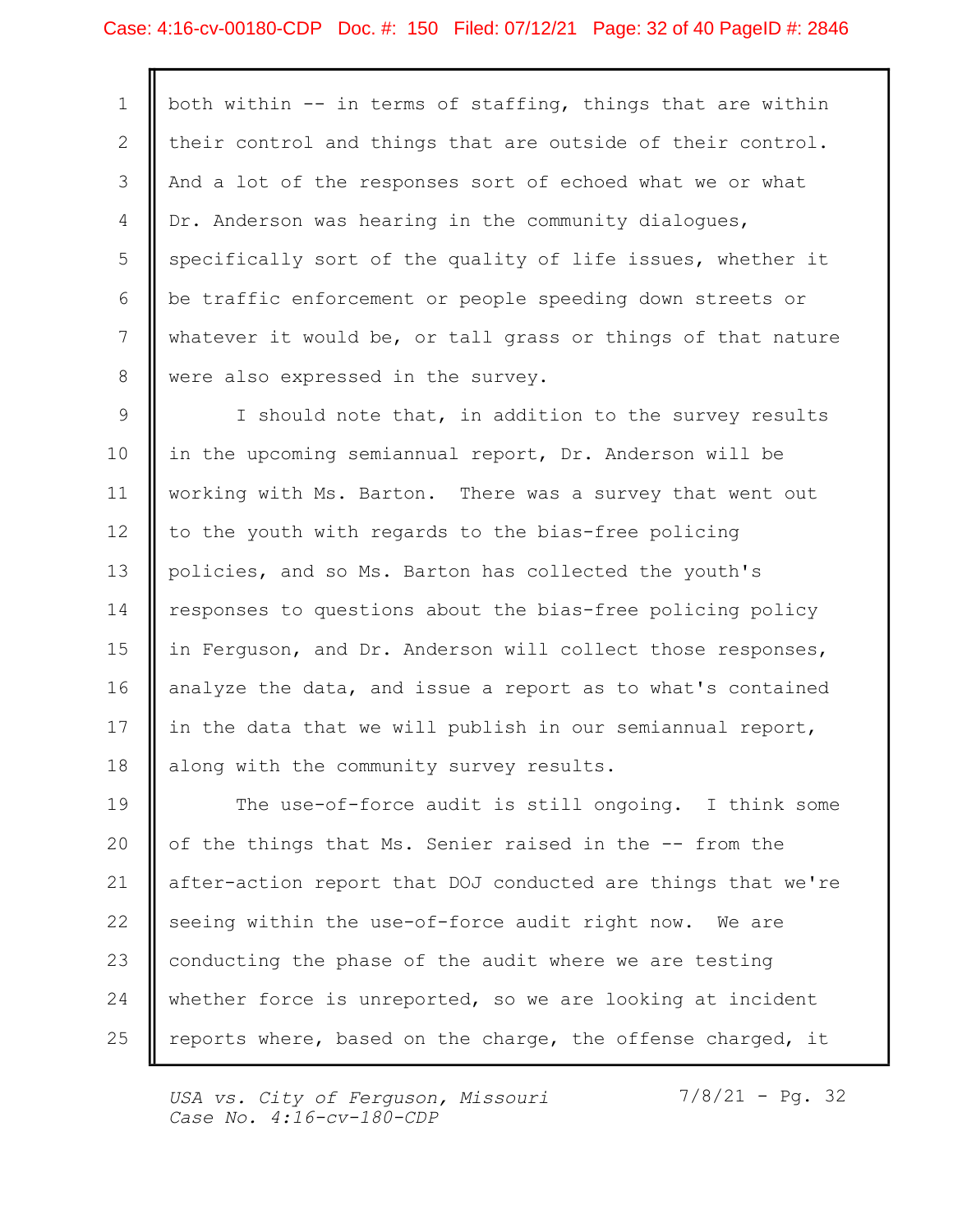#### Case: 4:16-cv-00180-CDP Doc. #: 150 Filed: 07/12/21 Page: 32 of 40 PageID #: 2846

1 | both within -- in terms of staffing, things that are within 2 | their control and things that are outside of their control. 3 || And a lot of the responses sort of echoed what we or what 4 | Dr. Anderson was hearing in the community dialogues, 5 S SEPEC SERIGHT SORT OF the quality of life issues, whether it 6 | be traffic enforcement or people speeding down streets or 7 || whatever it would be, or tall grass or things of that nature 8 | were also expressed in the survey.

9 | I should note that, in addition to the survey results in the upcoming semiannual report, Dr. Anderson will be 10 11 || working with Ms. Barton. There was a survey that went out 12 || to the youth with regards to the bias-free policing 13 || policies, and so Ms. Barton has collected the youth's 14 | responses to questions about the bias-free policing policy 15 || in Ferguson, and Dr. Anderson will collect those responses, 16 || analyze the data, and issue a report as to what's contained 17 || in the data that we will publish in our semiannual report, 18 | along with the community survey results.

19 || The use-of-force audit is still ongoing. I think some 20 || of the things that Ms. Senier raised in the -- from the 21 || after-action report that DOJ conducted are things that we're 22 || seeing within the use-of-force audit right now. We are 23 || conducting the phase of the audit where we are testing 24 | whether force is unreported, so we are looking at incident 25  $\parallel$  reports where, based on the charge, the offense charged, it

USA vs. City of Ferguson, Missouri Case No.  $4:16$ -cv-180-CDP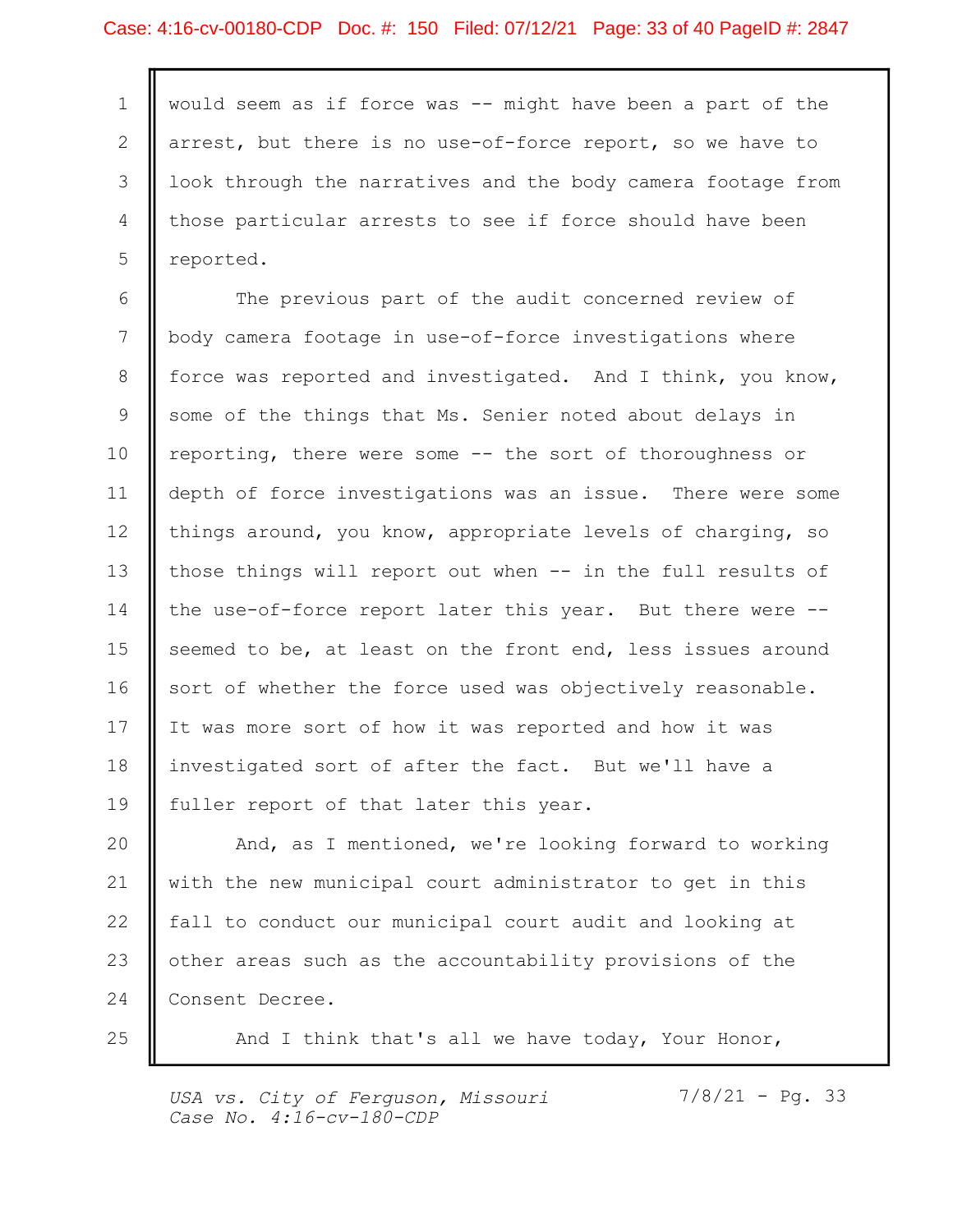#### Case: 4:16-cv-00180-CDP Doc. #: 150 Filed: 07/12/21 Page: 33 of 40 PageID #: 2847

1 | would seem as if force was -- might have been a part of the 2 | arrest, but there is no use-of-force report, so we have to 3 || look through the narratives and the body camera footage from 4 | those particular arrests to see if force should have been 5 perced.

6 | The previous part of the audit concerned review of body camera footage in use-of-force investigations where 7 8 || force was reported and investigated. And I think, you know, 9 Some of the things that Ms. Senier noted about delays in 10 | reporting, there were some -- the sort of thoroughness or 11 || depth of force investigations was an issue. There were some 12 || things around, you know, appropriate levels of charging, so 13 || those things will report out when -- in the full results of 14 || the use-of-force report later this year. But there were --15  $\parallel$  seemed to be, at least on the front end, less issues around 16 || sort of whether the force used was objectively reasonable. 17 || It was more sort of how it was reported and how it was 18 || investigated sort of after the fact. But we'll have a 19 || fuller report of that later this year.

20 || And, as I mentioned, we're looking forward to working 21 || with the new municipal court administrator to get in this 22 || fall to conduct our municipal court audit and looking at 23 || other areas such as the accountability provisions of the 24 Consent Decree.

25 || And I think that's all we have today, Your Honor,

USA vs. City of Ferguson, Missouri Case No. 4:16-cv-180-CDP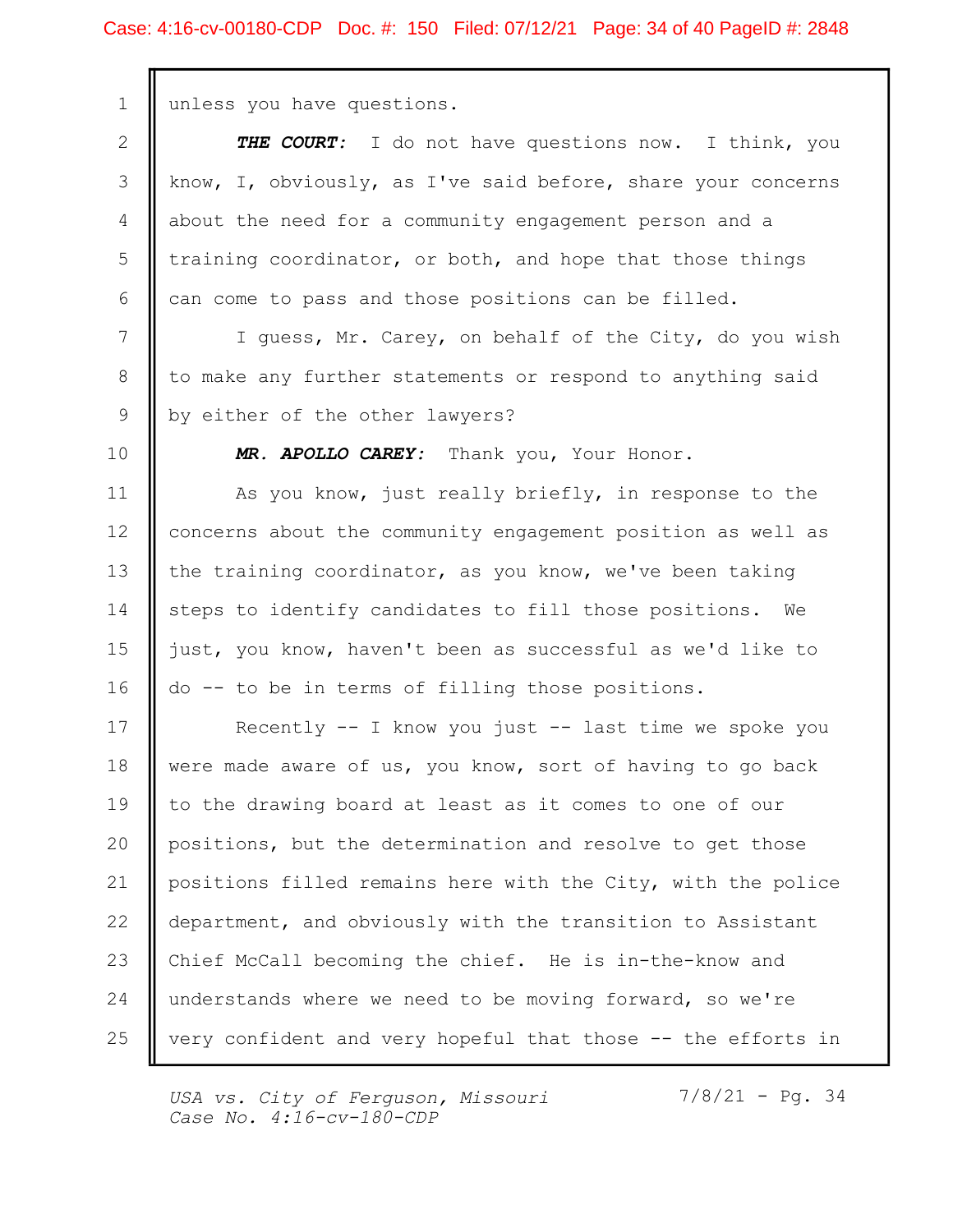1 | unless you have questions.

|     | THE COURT: I do not have questions now. I think, you          |  |
|-----|---------------------------------------------------------------|--|
|     | know, I, obviously, as I've said before, share your concerns  |  |
|     | 4   about the need for a community engagement person and a    |  |
|     | 5   training coordinator, or both, and hope that those things |  |
| $6$ | can come to pass and those positions can be filled.           |  |

7 | I guess, Mr. Carey, on behalf of the City, do you wish 8 || to make any further statements or respond to anything said 9 || by either of the other lawyers?

10 **|| MR. APOLLO CAREY:** Thank you, Your Honor.

11 | As you know, just really briefly, in response to the 12 | concerns about the community engagement position as well as 13 || the training coordinator, as you know, we've been taking 14 || steps to identify candidates to fill those positions. We 15 || just, you know, haven't been as successful as we'd like to 16 || do -- to be in terms of filling those positions.

17 || Recently -- I know you just -- last time we spoke you | 18 Were made aware of us, you know, sort of having to go back 19 || to the drawing board at least as it comes to one of our 20 || positions, but the determination and resolve to get those 21 || positions filled remains here with the City, with the police 22 || department, and obviously with the transition to Assistant 23 || Chief McCall becoming the chief. He is in-the-know and 24 || understands where we need to be moving forward, so we're 25 || very confident and very hopeful that those -- the efforts in

USA vs. City of Ferguson, Missouri Case No. 4:16-cv-180-CDP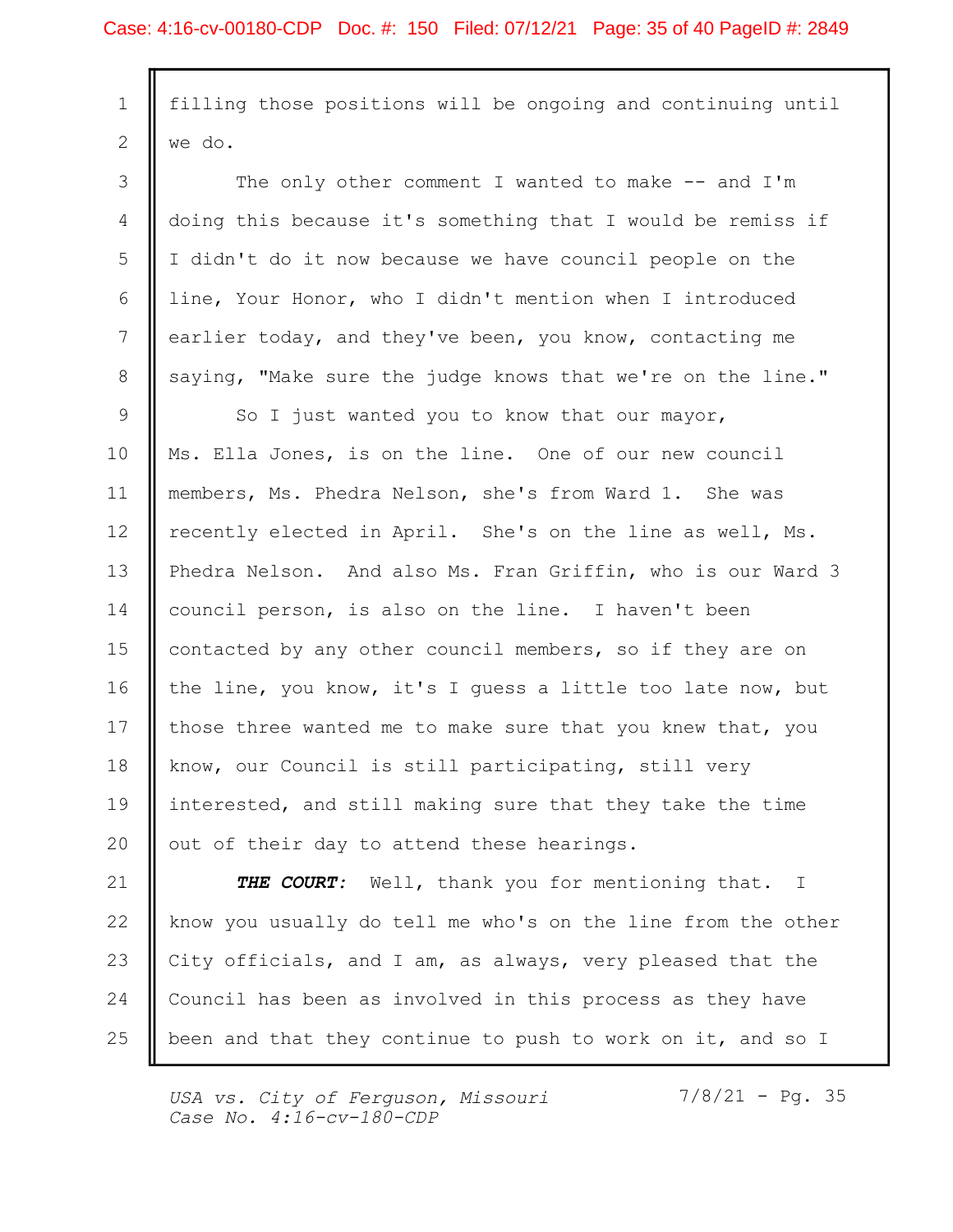1 | filling those positions will be ongoing and continuing until 2 we do.

3 || The only other comment I wanted to make -- and I'm 4 | doing this because it's something that I would be remiss if 5 || I didn't do it now because we have council people on the 6 || line, Your Honor, who I didn't mention when I introduced 7 earlier today, and they've been, you know, contacting me 8 || saying, "Make sure the judge knows that we're on the line." |

9 | So I just wanted you to know that our mayor, Ms. Ella Jones, is on the line. One of our new council 10 members, Ms. Phedra Nelson, she's from Ward 1. She was 11 12 || recently elected in April. She's on the line as well, Ms. 13 || Phedra Nelson. And also Ms. Fran Griffin, who is our Ward 3 || 14 || council person, is also on the line. I haven't been 15 || contacted by any other council members, so if they are on 16 || the line, you know, it's I guess a little too late now, but 17 || those three wanted me to make sure that you knew that, you 18 || know, our Council is still participating, still very 19 || interested, and still making sure that they take the time 20 || out of their day to attend these hearings.

21 || THE COURT: Well, thank you for mentioning that. I 22 | know you usually do tell me who's on the line from the other 23 || City officials, and I am, as always, very pleased that the 24 || Council has been as involved in this process as they have 25 || been and that they continue to push to work on it, and so I

USA vs. City of Ferguson, Missouri Case No.  $4:16$ -cv-180-CDP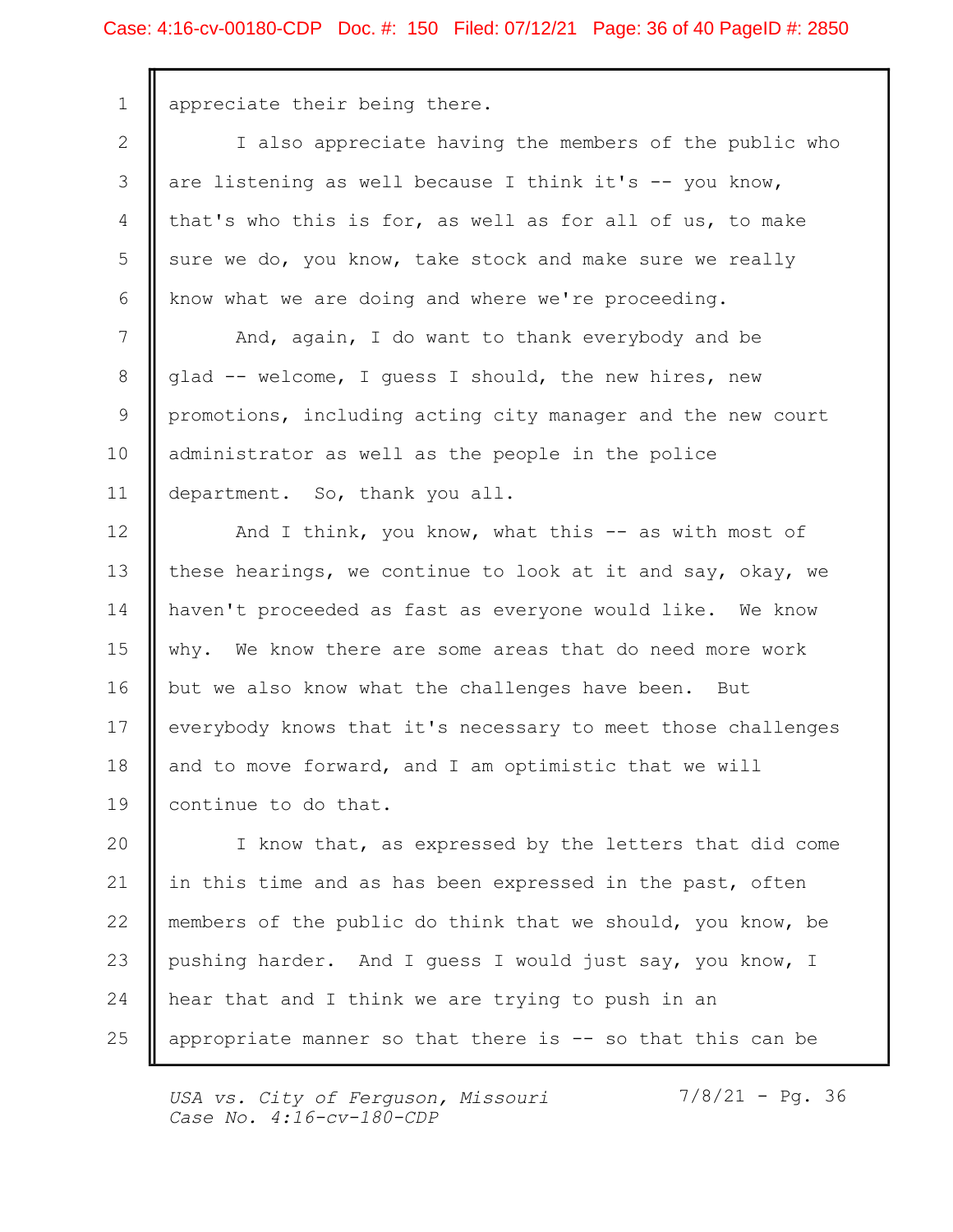#### Case: 4:16-cv-00180-CDP Doc. #: 150 Filed: 07/12/21 Page: 36 of 40 PageID #: 2850

1 | appreciate their being there.

2 || I also appreciate having the members of the public who 3 || are listening as well because I think it's -- you know,  $4$  | that's who this is for, as well as for all of us, to make 5 Som sure we do, you know, take stock and make sure we really 6 | know what we are doing and where we're proceeding. 7 | Rhd, again, I do want to thank everybody and be

8 || glad -- welcome, I guess I should, the new hires, new 9 | promotions, including acting city manager and the new court 10 || administrator as well as the people in the police 11 | department. So, thank you all.

12 || And I think, you know, what this -- as with most of 13 | these hearings, we continue to look at it and say, okay, we 14 | haven't proceeded as fast as everyone would like. We know why. We know there are some areas that do need more work 15 16 || but we also know what the challenges have been. But 17 | everybody knows that it's necessary to meet those challenges 18 || and to move forward, and I am optimistic that we will 19 || continue to do that.

20 || I know that, as expressed by the letters that did come 21  $\parallel$  in this time and as has been expressed in the past, often  $\parallel$ 22 | members of the public do think that we should, you know, be 23 || pushing harder. And I guess I would just say, you know, I 24 || hear that and I think we are trying to push in an 25 || appropriate manner so that there is -- so that this can be

USA vs. City of Ferguson, Missouri Case No. 4:16-cv-180-CDP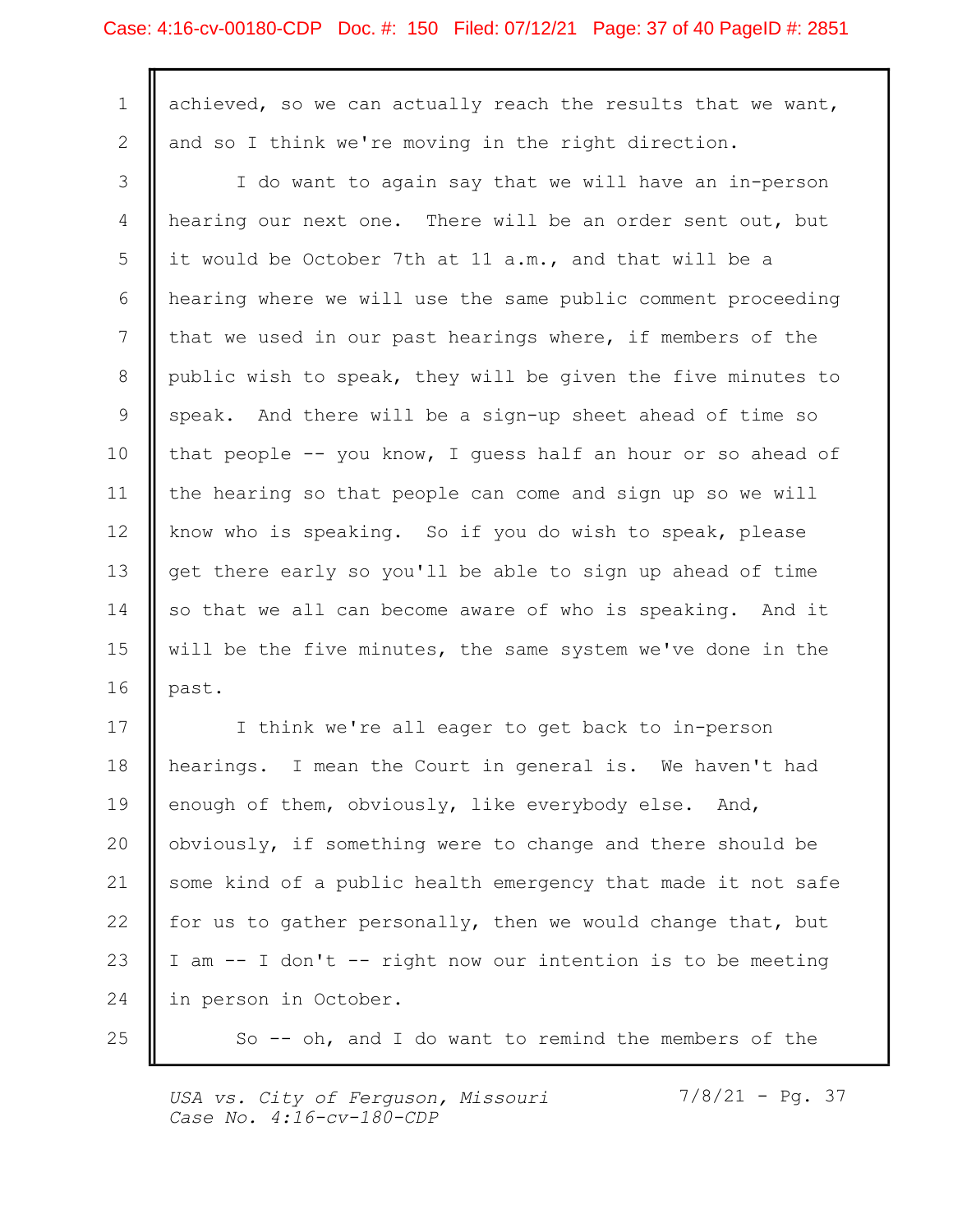## Case: 4:16-cv-00180-CDP Doc. #: 150 Filed: 07/12/21 Page: 37 of 40 PageID #: 2851

| 1                 | achieved, so we can actually reach the results that we want, |
|-------------------|--------------------------------------------------------------|
| 2                 | and so I think we're moving in the right direction.          |
| 3                 | I do want to again say that we will have an in-person        |
| 4                 | hearing our next one. There will be an order sent out, but   |
| 5                 | it would be October 7th at 11 a.m., and that will be a       |
| 6                 | hearing where we will use the same public comment proceeding |
| 7                 | that we used in our past hearings where, if members of the   |
| 8                 | public wish to speak, they will be given the five minutes to |
| 9                 | speak. And there will be a sign-up sheet ahead of time so    |
| 10                | that people -- you know, I guess half an hour or so ahead of |
| 11                | the hearing so that people can come and sign up so we will   |
| $12 \overline{ }$ | know who is speaking. So if you do wish to speak, please     |
| 13                | get there early so you'll be able to sign up ahead of time   |
| 14                | so that we all can become aware of who is speaking. And it   |
| 15                | will be the five minutes, the same system we've done in the  |
| 16                | past.                                                        |
| 17                | I think we're all eager to get back to in-person             |
| 18                | hearings. I mean the Court in general is. We haven't had     |
| 19                | enough of them, obviously, like everybody else. And,         |
| 20                | obviously, if something were to change and there should be   |
| 21                | some kind of a public health emergency that made it not safe |
| 22                | for us to gather personally, then we would change that, but  |
| 23                | I am -- I don't -- right now our intention is to be meeting  |
| 24                | in person in October.                                        |
| 25                | So $-$ oh, and I do want to remind the members of the        |
|                   |                                                              |

USA vs. City of Ferguson, Missouri 7/8/21 - Pg. 37 Case No. 4:16-cv-180-CDP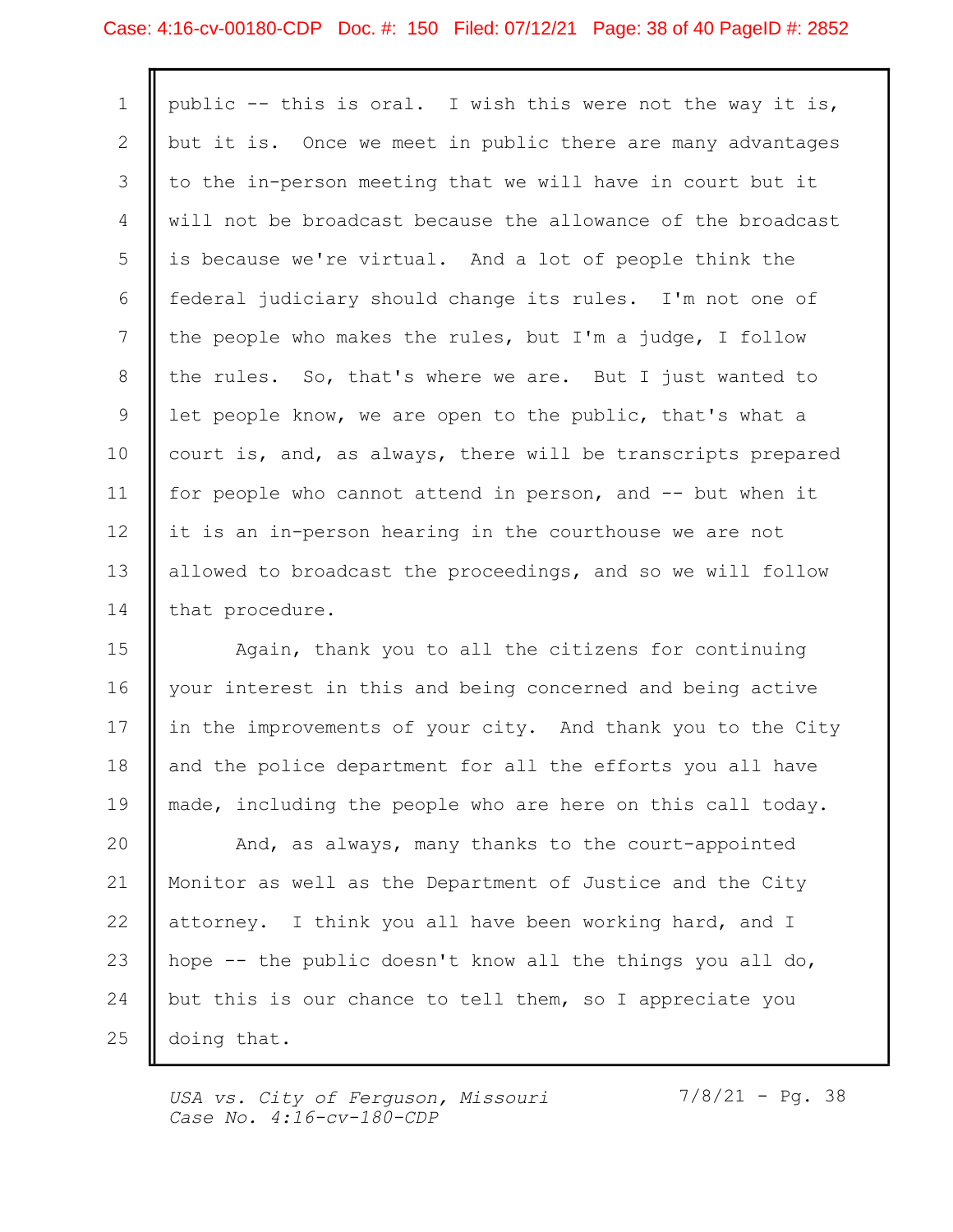#### Case: 4:16-cv-00180-CDP Doc. #: 150 Filed: 07/12/21 Page: 38 of 40 PageID #: 2852

П

| $\mathbf{1}$   | public -- this is oral. I wish this were not the way it is,  |  |
|----------------|--------------------------------------------------------------|--|
| $\overline{2}$ | but it is. Once we meet in public there are many advantages  |  |
| $\mathcal{S}$  | to the in-person meeting that we will have in court but it   |  |
| $\overline{4}$ | will not be broadcast because the allowance of the broadcast |  |
| 5              | is because we're virtual. And a lot of people think the      |  |
| 6              | federal judiciary should change its rules. I'm not one of    |  |
| 7              | the people who makes the rules, but I'm a judge, I follow    |  |
| 8              | the rules. So, that's where we are. But I just wanted to     |  |
| 9              | let people know, we are open to the public, that's what a    |  |
| 10             | court is, and, as always, there will be transcripts prepared |  |
| 11             | for people who cannot attend in person, and -- but when it   |  |
| 12             | it is an in-person hearing in the courthouse we are not      |  |
| 13             | allowed to broadcast the proceedings, and so we will follow  |  |
| 14             | that procedure.                                              |  |

15 || Again, thank you to all the citizens for continuing 16 || your interest in this and being concerned and being active 17 || in the improvements of your city. And thank you to the City || 18 || and the police department for all the efforts you all have 19 || made, including the people who are here on this call today.

20 || And, as always, many thanks to the court-appointed 21 || Monitor as well as the Department of Justice and the City 22 | attorney. I think you all have been working hard, and I 23 || hope -- the public doesn't know all the things you all do, 24 || but this is our chance to tell them, so I appreciate you  $25$  doing that.

USA vs. City of Ferguson, Missouri Case No.  $4:16$ -cv-180-CDP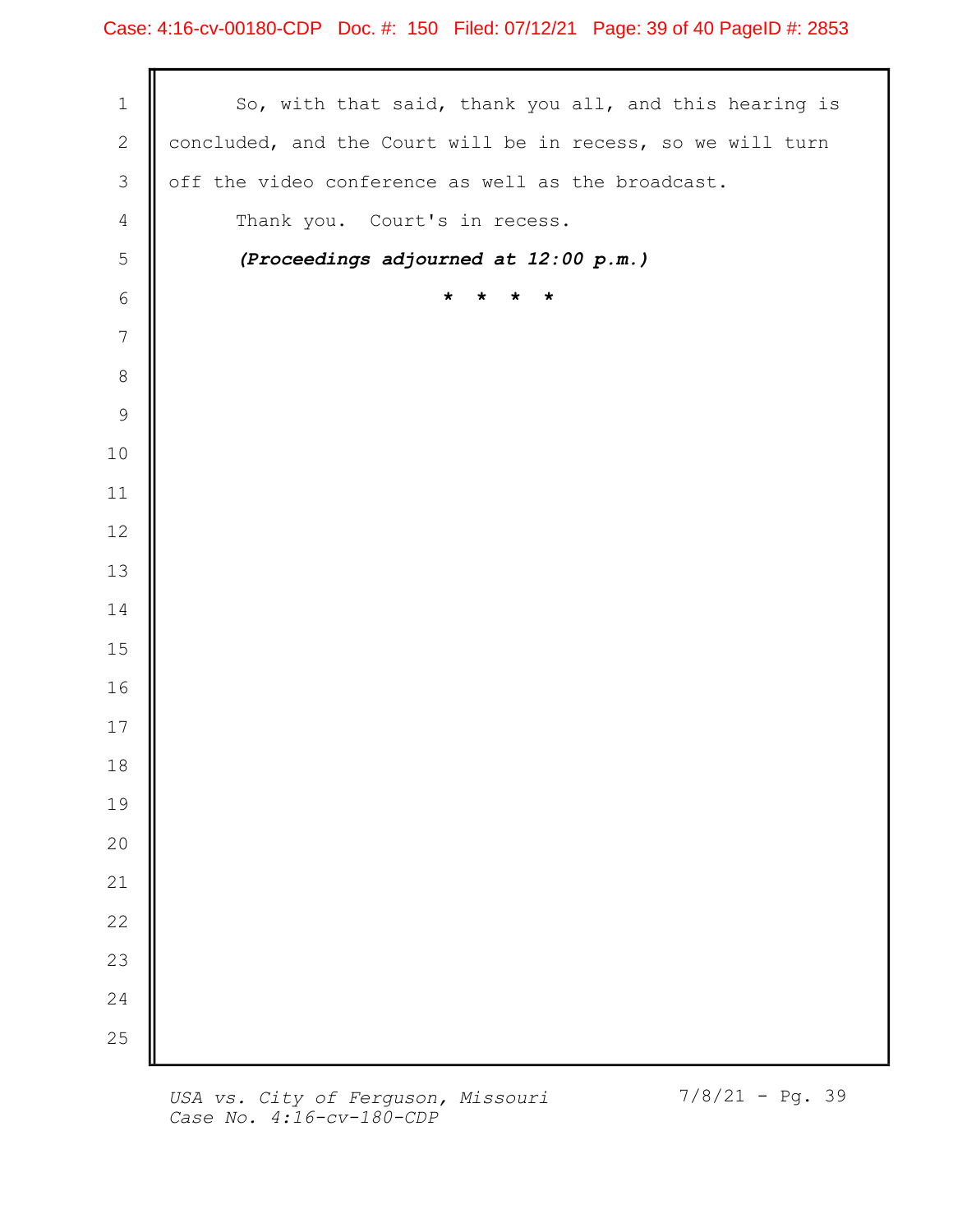1 | So, with that said, thank you all, and this hearing is 2 | concluded, and the Court will be in recess, so we will turn 3 || off the video conference as well as the broadcast. 4 Thank you. Court's in recess.  $\begin{array}{c|c} 5 & \text{if } \end{array}$  (Proceedings adjourned at 12:00 p.m.) \* \* \* \*  $6 \parallel$  $7 \parallel$  8 9 10 11  $12$ 13 14 15 16 17 18 19 20 **1** 21  $\parallel$ 22  $\parallel$ 23  $\blacksquare$ 24  $\blacksquare$ 25  $\blacksquare$ 

USA vs. City of Ferguson, Missouri Case No. 4:16-cv-180-CDP